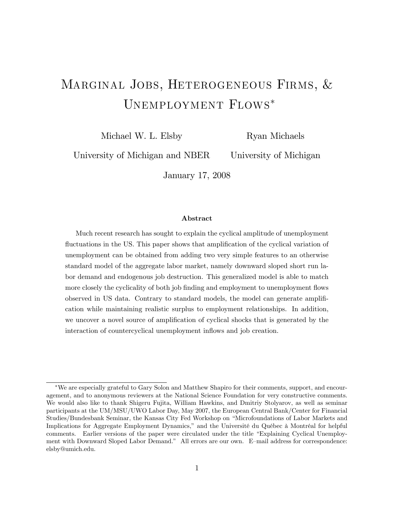# Marginal Jobs, Heterogeneous Firms, & Unemployment Flows

Michael W. L. Elsby

Ryan Michaels

University of Michigan and NBER

University of Michigan

January 17, 2008

#### Abstract

Much recent research has sought to explain the cyclical amplitude of unemployment fluctuations in the US. This paper shows that amplification of the cyclical variation of unemployment can be obtained from adding two very simple features to an otherwise standard model of the aggregate labor market, namely downward sloped short run labor demand and endogenous job destruction. This generalized model is able to match more closely the cyclicality of both job finding and employment to unemployment flows observed in US data. Contrary to standard models, the model can generate amplification while maintaining realistic surplus to employment relationships. In addition, we uncover a novel source of amplification of cyclical shocks that is generated by the interaction of countercyclical unemployment inflows and job creation.

We are especially grateful to Gary Solon and Matthew Shapiro for their comments, support, and encouragement, and to anonymous reviewers at the National Science Foundation for very constructive comments. We would also like to thank Shigeru Fujita, William Hawkins, and Dmitriy Stolyarov, as well as seminar participants at the UM/MSU/UWO Labor Day, May 2007, the European Central Bank/Center for Financial Studies/Bundesbank Seminar, the Kansas City Fed Workshop on "Microfoundations of Labor Markets and Implications for Aggregate Employment Dynamics," and the Université du Québec à Montréal for helpful comments. Earlier versions of the paper were circulated under the title "Explaining Cyclical Unemployment with Downward Sloped Labor Demand." All errors are our own. E-mail address for correspondence: elsby@umich.edu.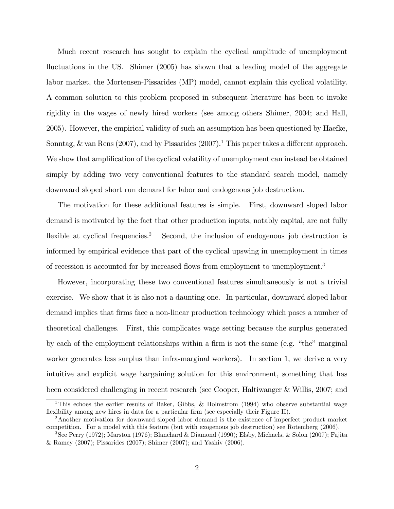Much recent research has sought to explain the cyclical amplitude of unemployment fluctuations in the US. Shimer  $(2005)$  has shown that a leading model of the aggregate labor market, the Mortensen-Pissarides (MP) model, cannot explain this cyclical volatility. A common solution to this problem proposed in subsequent literature has been to invoke rigidity in the wages of newly hired workers (see among others Shimer, 2004; and Hall, 2005). However, the empirical validity of such an assumption has been questioned by Haefke, Sonntag, & van Rens (2007), and by Pissarides (2007).<sup>1</sup> This paper takes a different approach. We show that amplification of the cyclical volatility of unemployment can instead be obtained simply by adding two very conventional features to the standard search model, namely downward sloped short run demand for labor and endogenous job destruction.

The motivation for these additional features is simple. First, downward sloped labor demand is motivated by the fact that other production inputs, notably capital, are not fully flexible at cyclical frequencies.<sup>2</sup> Second, the inclusion of endogenous job destruction is informed by empirical evidence that part of the cyclical upswing in unemployment in times of recession is accounted for by increased flows from employment to unemployment.<sup>3</sup>

However, incorporating these two conventional features simultaneously is not a trivial exercise. We show that it is also not a daunting one. In particular, downward sloped labor demand implies that firms face a non-linear production technology which poses a number of theoretical challenges. First, this complicates wage setting because the surplus generated by each of the employment relationships within a firm is not the same (e.g.  $\lq$  "the" marginal worker generates less surplus than infra-marginal workers). In section 1, we derive a very intuitive and explicit wage bargaining solution for this environment, something that has been considered challenging in recent research (see Cooper, Haltiwanger & Willis, 2007; and

<sup>&</sup>lt;sup>1</sup>This echoes the earlier results of Baker, Gibbs, & Holmstrom (1994) who observe substantial wage flexibility among new hires in data for a particular firm (see especially their Figure II).

<sup>2</sup>Another motivation for downward sloped labor demand is the existence of imperfect product market competition. For a model with this feature (but with exogenous job destruction) see Rotemberg (2006).

<sup>3</sup>See Perry (1972); Marston (1976); Blanchard & Diamond (1990); Elsby, Michaels, & Solon (2007); Fujita & Ramey (2007); Pissarides (2007); Shimer (2007); and Yashiv (2006).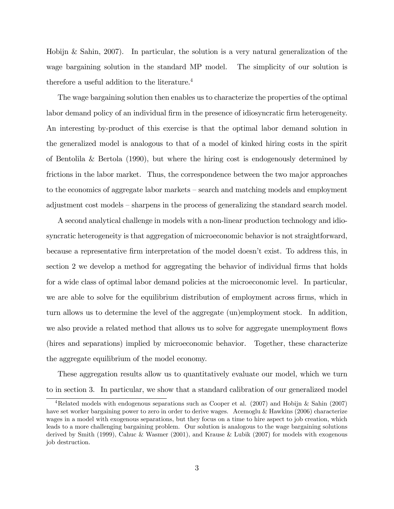Hobijn & Sahin, 2007). In particular, the solution is a very natural generalization of the wage bargaining solution in the standard MP model. The simplicity of our solution is therefore a useful addition to the literature.<sup>4</sup>

The wage bargaining solution then enables us to characterize the properties of the optimal labor demand policy of an individual firm in the presence of idiosyncratic firm heterogeneity. An interesting by-product of this exercise is that the optimal labor demand solution in the generalized model is analogous to that of a model of kinked hiring costs in the spirit of Bentolila & Bertola (1990), but where the hiring cost is endogenously determined by frictions in the labor market. Thus, the correspondence between the two major approaches to the economics of aggregate labor markets – search and matching models and employment adjustment cost models – sharpens in the process of generalizing the standard search model.

A second analytical challenge in models with a non-linear production technology and idiosyncratic heterogeneity is that aggregation of microeconomic behavior is not straightforward, because a representative Örm interpretation of the model doesnít exist. To address this, in section 2 we develop a method for aggregating the behavior of individual firms that holds for a wide class of optimal labor demand policies at the microeconomic level. In particular, we are able to solve for the equilibrium distribution of employment across firms, which in turn allows us to determine the level of the aggregate (un)employment stock. In addition, we also provide a related method that allows us to solve for aggregate unemployment flows (hires and separations) implied by microeconomic behavior. Together, these characterize the aggregate equilibrium of the model economy.

These aggregation results allow us to quantitatively evaluate our model, which we turn to in section 3. In particular, we show that a standard calibration of our generalized model

<sup>&</sup>lt;sup>4</sup>Related models with endogenous separations such as Cooper et al. (2007) and Hobijn & Sahin (2007) have set worker bargaining power to zero in order to derive wages. Acemoglu & Hawkins (2006) characterize wages in a model with exogenous separations, but they focus on a time to hire aspect to job creation, which leads to a more challenging bargaining problem. Our solution is analogous to the wage bargaining solutions derived by Smith (1999), Cahuc & Wasmer (2001), and Krause & Lubik (2007) for models with exogenous job destruction.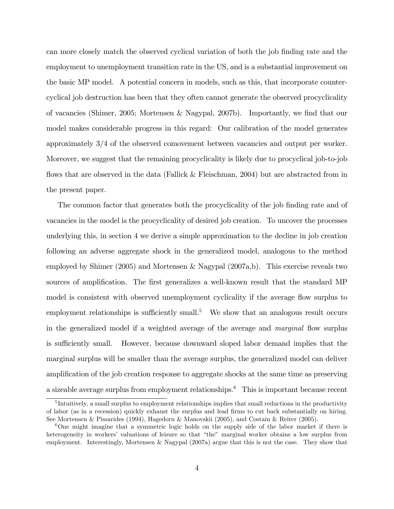can more closely match the observed cyclical variation of both the job finding rate and the employment to unemployment transition rate in the US, and is a substantial improvement on the basic MP model. A potential concern in models, such as this, that incorporate countercyclical job destruction has been that they often cannot generate the observed procyclicality of vacancies (Shimer, 2005; Mortensen & Nagypal, 2007b). Importantly, we Önd that our model makes considerable progress in this regard: Our calibration of the model generates approximately 3/4 of the observed comovement between vacancies and output per worker. Moreover, we suggest that the remaining procyclicality is likely due to procyclical job-to-job flows that are observed in the data (Fallick  $&$  Fleischman, 2004) but are abstracted from in the present paper.

The common factor that generates both the procyclicality of the job finding rate and of vacancies in the model is the procyclicality of desired job creation. To uncover the processes underlying this, in section 4 we derive a simple approximation to the decline in job creation following an adverse aggregate shock in the generalized model, analogous to the method employed by Shimer (2005) and Mortensen & Nagypal (2007a,b). This exercise reveals two sources of amplification. The first generalizes a well-known result that the standard MP model is consistent with observed unemployment cyclicality if the average flow surplus to employment relationships is sufficiently small.<sup>5</sup> We show that an analogous result occurs in the generalized model if a weighted average of the average and *marginal* flow surplus is sufficiently small. However, because downward sloped labor demand implies that the marginal surplus will be smaller than the average surplus, the generalized model can deliver amplification of the job creation response to aggregate shocks at the same time as preserving a sizeable average surplus from employment relationships.<sup>6</sup> This is important because recent

<sup>&</sup>lt;sup>5</sup>Intuitively, a small surplus to employment relationships implies that small reductions in the productivity of labor (as in a recession) quickly exhaust the surplus and lead Örms to cut back substantially on hiring. See Mortensen & Pissarides (1994), Hagedorn & Manovskii (2005), and Costain & Reiter (2005).

<sup>&</sup>lt;sup>6</sup>One might imagine that a symmetric logic holds on the supply side of the labor market if there is heterogeneity in workers' valuations of leisure so that "the" marginal worker obtains a low surplus from employment. Interestingly, Mortensen & Nagypal (2007a) argue that this is not the case. They show that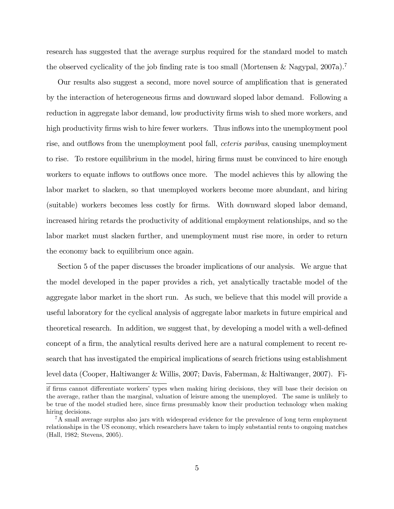research has suggested that the average surplus required for the standard model to match the observed cyclicality of the job finding rate is too small (Mortensen & Nagypal, 2007a).<sup>7</sup>

Our results also suggest a second, more novel source of amplification that is generated by the interaction of heterogeneous firms and downward sloped labor demand. Following a reduction in aggregate labor demand, low productivity firms wish to shed more workers, and high productivity firms wish to hire fewer workers. Thus inflows into the unemployment pool rise, and outflows from the unemployment pool fall, *ceteris paribus*, causing unemployment to rise. To restore equilibrium in the model, hiring firms must be convinced to hire enough workers to equate inflows to outflows once more. The model achieves this by allowing the labor market to slacken, so that unemployed workers become more abundant, and hiring (suitable) workers becomes less costly for Örms. With downward sloped labor demand, increased hiring retards the productivity of additional employment relationships, and so the labor market must slacken further, and unemployment must rise more, in order to return the economy back to equilibrium once again.

Section 5 of the paper discusses the broader implications of our analysis. We argue that the model developed in the paper provides a rich, yet analytically tractable model of the aggregate labor market in the short run. As such, we believe that this model will provide a useful laboratory for the cyclical analysis of aggregate labor markets in future empirical and theoretical research. In addition, we suggest that, by developing a model with a well-defined concept of a firm, the analytical results derived here are a natural complement to recent research that has investigated the empirical implications of search frictions using establishment level data (Cooper, Haltiwanger & Willis, 2007; Davis, Faberman, & Haltiwanger, 2007). Fi-

if firms cannot differentiate workers' types when making hiring decisions, they will base their decision on the average, rather than the marginal, valuation of leisure among the unemployed. The same is unlikely to be true of the model studied here, since firms presumably know their production technology when making hiring decisions.

<sup>7</sup>A small average surplus also jars with widespread evidence for the prevalence of long term employment relationships in the US economy, which researchers have taken to imply substantial rents to ongoing matches (Hall, 1982; Stevens, 2005).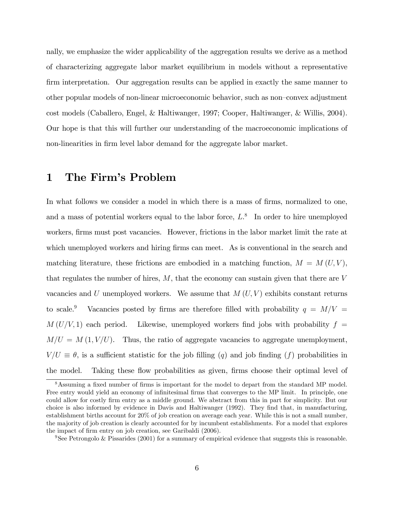nally, we emphasize the wider applicability of the aggregation results we derive as a method of characterizing aggregate labor market equilibrium in models without a representative firm interpretation. Our aggregation results can be applied in exactly the same manner to other popular models of non-linear microeconomic behavior, such as non-convex adjustment cost models (Caballero, Engel, & Haltiwanger, 1997; Cooper, Haltiwanger, & Willis, 2004). Our hope is that this will further our understanding of the macroeconomic implications of non-linearities in firm level labor demand for the aggregate labor market.

# 1 The Firm's Problem

In what follows we consider a model in which there is a mass of firms, normalized to one, and a mass of potential workers equal to the labor force,  $L^8$  In order to hire unemployed workers, firms must post vacancies. However, frictions in the labor market limit the rate at which unemployed workers and hiring firms can meet. As is conventional in the search and matching literature, these frictions are embodied in a matching function,  $M = M(U, V)$ , that regulates the number of hires,  $M$ , that the economy can sustain given that there are  $V$ vacancies and U unemployed workers. We assume that  $M(U, V)$  exhibits constant returns to scale.<sup>9</sup> Vacancies posted by firms are therefore filled with probability  $q = M/V$  =  $M(U/V, 1)$  each period. Likewise, unemployed workers find jobs with probability  $f =$  $M/U = M (1, V/U)$ . Thus, the ratio of aggregate vacancies to aggregate unemployment,  $V/U \equiv \theta$ , is a sufficient statistic for the job filling (q) and job finding (f) probabilities in the model. Taking these flow probabilities as given, firms choose their optimal level of

<sup>&</sup>lt;sup>8</sup>Assuming a fixed number of firms is important for the model to depart from the standard MP model. Free entry would yield an economy of infinitesimal firms that converges to the MP limit. In principle, one could allow for costly firm entry as a middle ground. We abstract from this in part for simplicity. But our choice is also informed by evidence in Davis and Haltiwanger (1992). They find that, in manufacturing, establishment births account for 20% of job creation on average each year. While this is not a small number, the majority of job creation is clearly accounted for by incumbent establishments. For a model that explores the impact of firm entry on job creation, see Garibaldi (2006).

<sup>&</sup>lt;sup>9</sup>See Petrongolo & Pissarides (2001) for a summary of empirical evidence that suggests this is reasonable.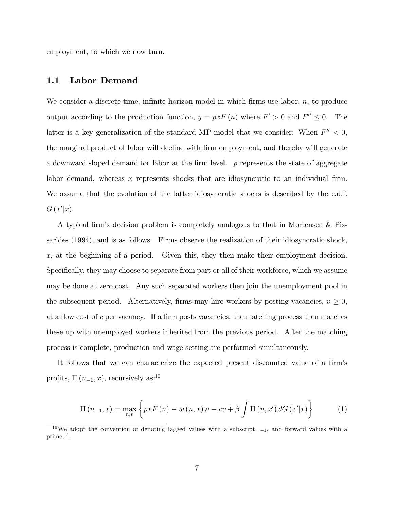employment, to which we now turn.

#### 1.1 Labor Demand

We consider a discrete time, infinite horizon model in which firms use labor,  $n$ , to produce output according to the production function,  $y = pxF(n)$  where  $F' > 0$  and  $F'' \leq 0$ . The latter is a key generalization of the standard MP model that we consider: When  $F'' < 0$ , the marginal product of labor will decline with firm employment, and thereby will generate a downward sloped demand for labor at the firm level.  $p$  represents the state of aggregate labor demand, whereas x represents shocks that are idiosyncratic to an individual firm. We assume that the evolution of the latter idiosyncratic shocks is described by the c.d.f.  $G(x'|x)$ .

A typical firm's decision problem is completely analogous to that in Mortensen & Pissarides (1994), and is as follows. Firms observe the realization of their idiosyncratic shock,  $x$ , at the beginning of a period. Given this, they then make their employment decision. Specifically, they may choose to separate from part or all of their workforce, which we assume may be done at zero cost. Any such separated workers then join the unemployment pool in the subsequent period. Alternatively, firms may hire workers by posting vacancies,  $v \geq 0$ , at a flow cost of c per vacancy. If a firm posts vacancies, the matching process then matches these up with unemployed workers inherited from the previous period. After the matching process is complete, production and wage setting are performed simultaneously.

It follows that we can characterize the expected present discounted value of a firm's profits,  $\Pi(n_{-1}, x)$ , recursively as:<sup>10</sup>

$$
\Pi(n_{-1},x) = \max_{n,v} \left\{ pxF(n) - w(n,x)n - cv + \beta \int \Pi(n,x') dG(x'|x) \right\}
$$
 (1)

 $10\,\text{We}$  adopt the convention of denoting lagged values with a subscript,  $-1$ , and forward values with a prime, '.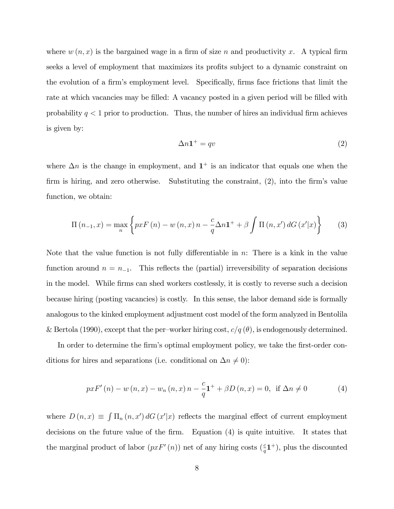where  $w(n, x)$  is the bargained wage in a firm of size n and productivity x. A typical firm seeks a level of employment that maximizes its profits subject to a dynamic constraint on the evolution of a firm's employment level. Specifically, firms face frictions that limit the rate at which vacancies may be filled: A vacancy posted in a given period will be filled with probability  $q < 1$  prior to production. Thus, the number of hires an individual firm achieves is given by:

$$
\Delta n \mathbf{1}^+ = qv \tag{2}
$$

where  $\Delta n$  is the change in employment, and  $1^+$  is an indicator that equals one when the firm is hiring, and zero otherwise. Substituting the constraint,  $(2)$ , into the firm's value function, we obtain:

$$
\Pi(n_{-1},x) = \max_{n} \left\{ pxF(n) - w(n,x)n - \frac{c}{q} \Delta n \mathbf{1}^+ + \beta \int \Pi(n,x') dG(x'|x) \right\}
$$
(3)

Note that the value function is not fully differentiable in  $n$ : There is a kink in the value function around  $n = n_{-1}$ . This reflects the (partial) irreversibility of separation decisions in the model. While firms can shed workers costlessly, it is costly to reverse such a decision because hiring (posting vacancies) is costly. In this sense, the labor demand side is formally analogous to the kinked employment adjustment cost model of the form analyzed in Bentolila & Bertola (1990), except that the per–worker hiring cost,  $c/q(\theta)$ , is endogenously determined.

In order to determine the firm's optimal employment policy, we take the first-order conditions for hires and separations (i.e. conditional on  $\Delta n \neq 0$ ):

$$
pxF'(n) - w(n, x) - w_n(n, x)n - \frac{c}{q}\mathbf{1}^+ + \beta D(n, x) = 0
$$
, if  $\Delta n \neq 0$  (4)

where  $D(n,x) \equiv \int \Pi_n(n,x') dG(x'|x)$  reflects the marginal effect of current employment decisions on the future value of the Örm. Equation (4) is quite intuitive. It states that the marginal product of labor  $(pxF'(n))$  net of any hiring costs  $(\frac{c}{q}\mathbf{1}^+)$ , plus the discounted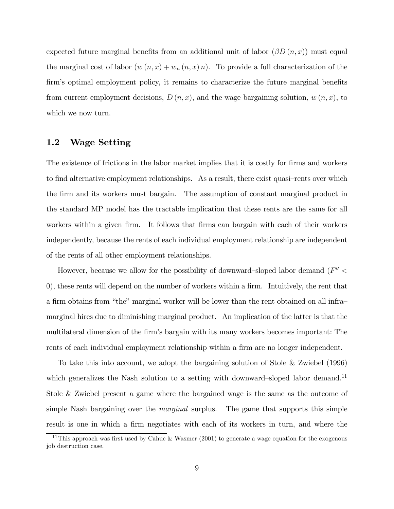expected future marginal benefits from an additional unit of labor  $(\beta D(n,x))$  must equal the marginal cost of labor  $(w(n, x) + w_n(n, x) n)$ . To provide a full characterization of the firm's optimal employment policy, it remains to characterize the future marginal benefits from current employment decisions,  $D(n, x)$ , and the wage bargaining solution,  $w(n, x)$ , to which we now turn.

### 1.2 Wage Setting

The existence of frictions in the labor market implies that it is costly for firms and workers to find alternative employment relationships. As a result, there exist quasi-rents over which the Örm and its workers must bargain. The assumption of constant marginal product in the standard MP model has the tractable implication that these rents are the same for all workers within a given firm. It follows that firms can bargain with each of their workers independently, because the rents of each individual employment relationship are independent of the rents of all other employment relationships.

However, because we allow for the possibility of downward-sloped labor demand  $(F'' <$ 0), these rents will depend on the number of workers within a firm. Intuitively, the rent that a firm obtains from "the" marginal worker will be lower than the rent obtained on all inframarginal hires due to diminishing marginal product. An implication of the latter is that the multilateral dimension of the firm's bargain with its many workers becomes important: The rents of each individual employment relationship within a firm are no longer independent.

To take this into account, we adopt the bargaining solution of Stole & Zwiebel (1996) which generalizes the Nash solution to a setting with downward-sloped labor demand.<sup>11</sup> Stole & Zwiebel present a game where the bargained wage is the same as the outcome of simple Nash bargaining over the *marginal* surplus. The game that supports this simple result is one in which a firm negotiates with each of its workers in turn, and where the

<sup>&</sup>lt;sup>11</sup>This approach was first used by Cahuc & Wasmer (2001) to generate a wage equation for the exogenous job destruction case.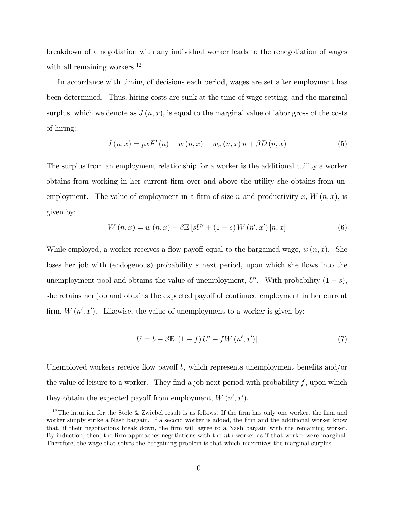breakdown of a negotiation with any individual worker leads to the renegotiation of wages with all remaining workers.<sup>12</sup>

In accordance with timing of decisions each period, wages are set after employment has been determined. Thus, hiring costs are sunk at the time of wage setting, and the marginal surplus, which we denote as  $J(n, x)$ , is equal to the marginal value of labor gross of the costs of hiring:

$$
J(n,x) = pxF'(n) - w(n,x) - w_n(n,x) n + \beta D(n,x)
$$
 (5)

The surplus from an employment relationship for a worker is the additional utility a worker obtains from working in her current Örm over and above the utility she obtains from unemployment. The value of employment in a firm of size n and productivity x,  $W(n, x)$ , is given by:

$$
W(n,x) = w(n,x) + \beta \mathbb{E}\left[sU' + (1-s)W(n',x')\,|n,x\right]
$$
 (6)

While employed, a worker receives a flow payoff equal to the bargained wage,  $w(n, x)$ . She loses her job with (endogenous) probability s next period, upon which she flows into the unemployment pool and obtains the value of unemployment,  $U'$ . With probability  $(1-s)$ , she retains her job and obtains the expected payoff of continued employment in her current firm,  $W(n', x')$ . Likewise, the value of unemployment to a worker is given by:

$$
U = b + \beta \mathbb{E} \left[ \left( 1 - f \right) U' + f W \left( n', x' \right) \right] \tag{7}
$$

Unemployed workers receive flow payoff  $b$ , which represents unemployment benefits and/or the value of leisure to a worker. They find a job next period with probability  $f$ , upon which they obtain the expected payoff from employment,  $W(n', x')$ .

<sup>&</sup>lt;sup>12</sup>The intuition for the Stole & Zwiebel result is as follows. If the firm has only one worker, the firm and worker simply strike a Nash bargain. If a second worker is added, the firm and the additional worker know that, if their negotiations break down, the Örm will agree to a Nash bargain with the remaining worker. By induction, then, the firm approaches negotiations with the nth worker as if that worker were marginal. Therefore, the wage that solves the bargaining problem is that which maximizes the marginal surplus.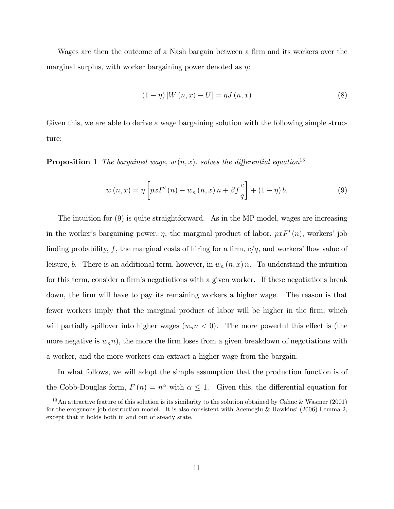Wages are then the outcome of a Nash bargain between a firm and its workers over the marginal surplus, with worker bargaining power denoted as  $\eta$ :

$$
(1 - \eta) [W (n, x) - U] = \eta J (n, x)
$$
\n(8)

Given this, we are able to derive a wage bargaining solution with the following simple structure:

**Proposition 1** The bargained wage,  $w(n, x)$ , solves the differential equation<sup>13</sup>

$$
w(n,x) = \eta \left[ pxF'(n) - w_n(n,x)n + \beta f \frac{c}{q} \right] + (1-\eta) b. \tag{9}
$$

The intuition for (9) is quite straightforward. As in the MP model, wages are increasing in the worker's bargaining power,  $\eta$ , the marginal product of labor,  $pxF'(n)$ , workers' job finding probability, f, the marginal costs of hiring for a firm,  $c/q$ , and workers' flow value of leisure, b. There is an additional term, however, in  $w_n(n, x)$  n. To understand the intuition for this term, consider a firm's negotiations with a given worker. If these negotiations break down, the Örm will have to pay its remaining workers a higher wage. The reason is that fewer workers imply that the marginal product of labor will be higher in the firm, which will partially spillover into higher wages  $(w_n n \lt 0)$ . The more powerful this effect is (the more negative is  $w_n$ , the more the firm loses from a given breakdown of negotiations with a worker, and the more workers can extract a higher wage from the bargain.

In what follows, we will adopt the simple assumption that the production function is of the Cobb-Douglas form,  $F(n) = n^{\alpha}$  with  $\alpha \leq 1$ . Given this, the differential equation for

<sup>&</sup>lt;sup>13</sup>An attractive feature of this solution is its similarity to the solution obtained by Cahuc & Wasmer (2001) for the exogenous job destruction model. It is also consistent with Acemoglu & Hawkins' (2006) Lemma 2, except that it holds both in and out of steady state.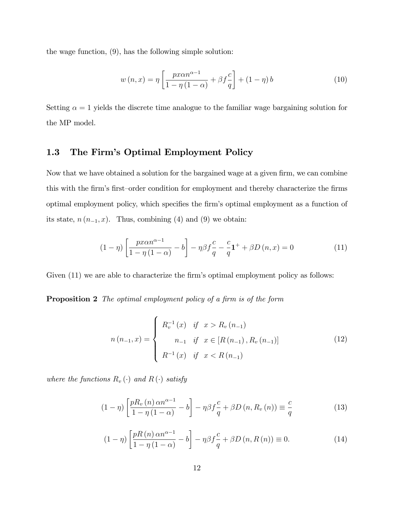the wage function, (9), has the following simple solution:

$$
w(n,x) = \eta \left[ \frac{px\alpha n^{\alpha-1}}{1-\eta(1-\alpha)} + \beta f \frac{c}{q} \right] + (1-\eta)b \tag{10}
$$

Setting  $\alpha = 1$  yields the discrete time analogue to the familiar wage bargaining solution for the MP model.

#### 1.3 The Firm's Optimal Employment Policy

Now that we have obtained a solution for the bargained wage at a given firm, we can combine this with the firm's first-order condition for employment and thereby characterize the firms optimal employment policy, which specifies the firm's optimal employment as a function of its state,  $n(n_{-1}, x)$ . Thus, combining (4) and (9) we obtain:

$$
(1 - \eta) \left[ \frac{px\alpha n^{\alpha - 1}}{1 - \eta(1 - \alpha)} - b \right] - \eta \beta f \frac{c}{q} - \frac{c}{q} \mathbf{1}^+ + \beta D(n, x) = 0 \tag{11}
$$

Given  $(11)$  we are able to characterize the firm's optimal employment policy as follows:

**Proposition 2** The optimal employment policy of a firm is of the form

$$
n(n_{-1},x) = \begin{cases} R_v^{-1}(x) & \text{if } x > R_v(n_{-1}) \\ n_{-1} & \text{if } x \in [R(n_{-1}), R_v(n_{-1})] \\ R^{-1}(x) & \text{if } x < R(n_{-1}) \end{cases}
$$
(12)

where the functions  $R_v(\cdot)$  and  $R(\cdot)$  satisfy

$$
(1 - \eta) \left[ \frac{p R_v(n) \alpha n^{\alpha - 1}}{1 - \eta(1 - \alpha)} - b \right] - \eta \beta f \frac{c}{q} + \beta D(n, R_v(n)) \equiv \frac{c}{q}
$$
 (13)

$$
(1 - \eta) \left[ \frac{pR(n)\,\alpha n^{\alpha - 1}}{1 - \eta(1 - \alpha)} - b \right] - \eta \beta f \frac{c}{q} + \beta D(n, R(n)) \equiv 0. \tag{14}
$$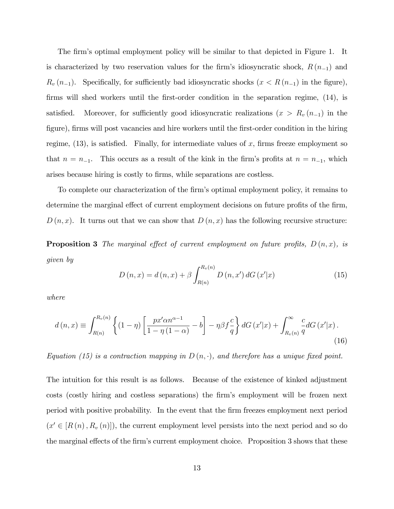The firm's optimal employment policy will be similar to that depicted in Figure 1. It is characterized by two reservation values for the firm's idiosyncratic shock,  $R (n_{-1})$  and  $R_v(n_{-1})$ . Specifically, for sufficiently bad idiosyncratic shocks  $(x < R(n_{-1})$  in the figure), firms will shed workers until the first-order condition in the separation regime,  $(14)$ , is satisfied. Moreover, for sufficiently good idiosyncratic realizations  $(x > R_v (n_{-1})$  in the figure), firms will post vacancies and hire workers until the first-order condition in the hiring regime,  $(13)$ , is satisfied. Finally, for intermediate values of x, firms freeze employment so that  $n = n_{-1}$ . This occurs as a result of the kink in the firm's profits at  $n = n_{-1}$ , which arises because hiring is costly to Örms, while separations are costless.

To complete our characterization of the firm's optimal employment policy, it remains to determine the marginal effect of current employment decisions on future profits of the firm,  $D(n, x)$ . It turns out that we can show that  $D(n, x)$  has the following recursive structure:

**Proposition 3** The marginal effect of current employment on future profits,  $D(n, x)$ , is given by

$$
D(n,x) = d(n,x) + \beta \int_{R(n)}^{R_v(n)} D(n,x') dG(x'|x)
$$
 (15)

where

$$
d(n,x) \equiv \int_{R(n)}^{R_v(n)} \left\{ (1-\eta) \left[ \frac{px'\alpha n^{\alpha-1}}{1-\eta(1-\alpha)} - b \right] - \eta \beta f \frac{c}{q} \right\} dG\left(x'|x\right) + \int_{R_v(n)}^{\infty} \frac{c}{q} dG\left(x'|x\right). \tag{16}
$$

Equation (15) is a contraction mapping in  $D(n, \cdot)$ , and therefore has a unique fixed point.

The intuition for this result is as follows. Because of the existence of kinked adjustment costs (costly hiring and costless separations) the firm's employment will be frozen next period with positive probability. In the event that the Örm freezes employment next period  $(x' \in [R(n), R_v(n)]$ , the current employment level persists into the next period and so do the marginal effects of the firm's current employment choice. Proposition 3 shows that these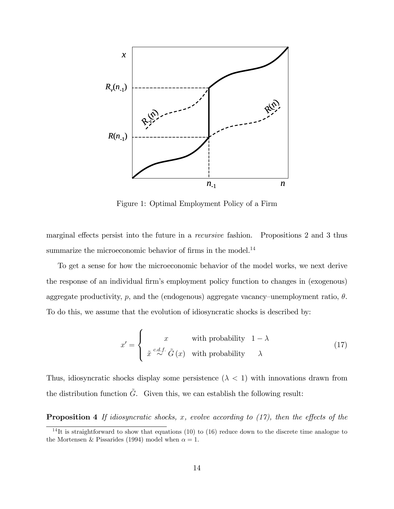

Figure 1: Optimal Employment Policy of a Firm

marginal effects persist into the future in a *recursive* fashion. Propositions 2 and 3 thus summarize the microeconomic behavior of firms in the model.<sup>14</sup>

To get a sense for how the microeconomic behavior of the model works, we next derive the response of an individual firm's employment policy function to changes in (exogenous) aggregate productivity,  $p$ , and the (endogenous) aggregate vacancy–unemployment ratio,  $\theta$ . To do this, we assume that the evolution of idiosyncratic shocks is described by:

$$
x' = \begin{cases} x & \text{with probability} \quad 1 - \lambda \\ \tilde{x} \stackrel{c.d.f.}{\sim} \tilde{G}(x) & \text{with probability} \quad \lambda \end{cases}
$$
 (17)

Thus, idiosyncratic shocks display some persistence  $(\lambda < 1)$  with innovations drawn from the distribution function  $\tilde{G}$ . Given this, we can establish the following result:

**Proposition 4** If idiosyncratic shocks, x, evolve according to  $(17)$ , then the effects of the

<sup>&</sup>lt;sup>14</sup>It is straightforward to show that equations (10) to (16) reduce down to the discrete time analogue to the Mortensen & Pissarides (1994) model when  $\alpha = 1$ .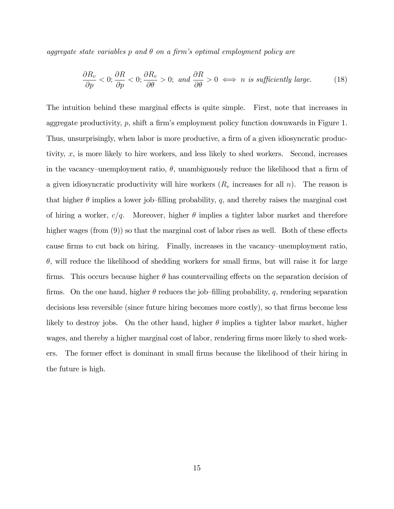aggregate state variables p and  $\theta$  on a firm's optimal employment policy are

$$
\frac{\partial R_v}{\partial p} < 0; \frac{\partial R}{\partial p} < 0; \frac{\partial R_v}{\partial \theta} > 0; \text{ and } \frac{\partial R}{\partial \theta} > 0 \iff n \text{ is sufficiently large.} \tag{18}
$$

The intuition behind these marginal effects is quite simple. First, note that increases in aggregate productivity,  $p$ , shift a firm's employment policy function downwards in Figure 1. Thus, unsurprisingly, when labor is more productive, a firm of a given idiosyncratic productivity, x, is more likely to hire workers, and less likely to shed workers. Second, increases in the vacancy–unemployment ratio,  $\theta$ , unambiguously reduce the likelihood that a firm of a given idiosyncratic productivity will hire workers  $(R_v$  increases for all n). The reason is that higher  $\theta$  implies a lower job-filling probability, q, and thereby raises the marginal cost of hiring a worker,  $c/q$ . Moreover, higher  $\theta$  implies a tighter labor market and therefore higher wages (from  $(9)$ ) so that the marginal cost of labor rises as well. Both of these effects cause firms to cut back on hiring. Finally, increases in the vacancy–unemployment ratio,  $\theta$ , will reduce the likelihood of shedding workers for small firms, but will raise it for large firms. This occurs because higher  $\theta$  has countervailing effects on the separation decision of firms. On the one hand, higher  $\theta$  reduces the job-filling probability, q, rendering separation decisions less reversible (since future hiring becomes more costly), so that firms become less likely to destroy jobs. On the other hand, higher  $\theta$  implies a tighter labor market, higher wages, and thereby a higher marginal cost of labor, rendering firms more likely to shed workers. The former effect is dominant in small firms because the likelihood of their hiring in the future is high.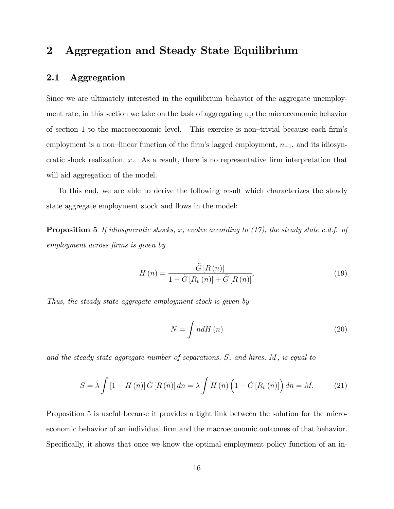# 2 Aggregation and Steady State Equilibrium

#### 2.1 Aggregation

Since we are ultimately interested in the equilibrium behavior of the aggregate unemployment rate, in this section we take on the task of aggregating up the microeconomic behavior of section 1 to the macroeconomic level. This exercise is non-trivial because each firm's employment is a non-linear function of the firm's lagged employment,  $n_{-1}$ , and its idiosyncratic shock realization,  $x$ . As a result, there is no representative firm interpretation that will aid aggregation of the model.

To this end, we are able to derive the following result which characterizes the steady state aggregate employment stock and flows in the model:

**Proposition 5** If idiosyncratic shocks, x, evolve according to  $(17)$ , the steady state c.d.f. of employment across firms is given by

$$
H\left(n\right) = \frac{\tilde{G}\left[R\left(n\right)\right]}{1 - \tilde{G}\left[R_v\left(n\right)\right] + \tilde{G}\left[R\left(n\right)\right]}.\tag{19}
$$

Thus, the steady state aggregate employment stock is given by

$$
N = \int n dH(n) \tag{20}
$$

and the steady state aggregate number of separations, S, and hires, M, is equal to

$$
S = \lambda \int \left[1 - H\left(n\right)\right] \tilde{G}\left[R\left(n\right)\right] dn = \lambda \int H\left(n\right) \left(1 - \tilde{G}\left[R_v\left(n\right)\right]\right) dn = M. \tag{21}
$$

Proposition 5 is useful because it provides a tight link between the solution for the microeconomic behavior of an individual firm and the macroeconomic outcomes of that behavior. Specifically, it shows that once we know the optimal employment policy function of an in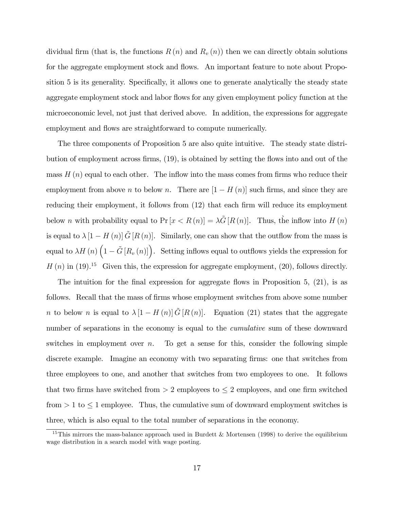dividual firm (that is, the functions  $R(n)$  and  $R_v(n)$ ) then we can directly obtain solutions for the aggregate employment stock and flows. An important feature to note about Proposition 5 is its generality. Specifically, it allows one to generate analytically the steady state aggregate employment stock and labor flows for any given employment policy function at the microeconomic level, not just that derived above. In addition, the expressions for aggregate employment and flows are straightforward to compute numerically.

The three components of Proposition 5 are also quite intuitive. The steady state distribution of employment across firms,  $(19)$ , is obtained by setting the flows into and out of the mass  $H(n)$  equal to each other. The inflow into the mass comes from firms who reduce their employment from above *n* to below *n*. There are  $[1 - H(n)]$  such firms, and since they are reducing their employment, it follows from  $(12)$  that each firm will reduce its employment below *n* with probability equal to  $Pr[x < R(n)] = \lambda \tilde{G}[R(n)]$ . Thus, the inflow into  $H(n)$ is equal to  $\lambda [1 - H(n)] \tilde{G}[R(n)]$ . Similarly, one can show that the outflow from the mass is equal to  $\lambda H(n)$   $(1 - \tilde{G}[R_v(n)])$ . Setting inflows equal to outflows yields the expression for  $H(n)$  in (19).<sup>15</sup> Given this, the expression for aggregate employment, (20), follows directly.

The intuition for the final expression for aggregate flows in Proposition 5,  $(21)$ , is as follows. Recall that the mass of firms whose employment switches from above some number n to below n is equal to  $\lambda [1 - H(n)] \tilde{G}[R(n)]$ . Equation (21) states that the aggregate number of separations in the economy is equal to the *cumulative* sum of these downward switches in employment over n. To get a sense for this, consider the following simple discrete example. Imagine an economy with two separating Örms: one that switches from three employees to one, and another that switches from two employees to one. It follows that two firms have switched from  $> 2$  employees to  $\leq 2$  employees, and one firm switched from  $> 1$  to  $\leq 1$  employee. Thus, the cumulative sum of downward employment switches is three, which is also equal to the total number of separations in the economy.

<sup>&</sup>lt;sup>15</sup>This mirrors the mass-balance approach used in Burdett & Mortensen (1998) to derive the equilibrium wage distribution in a search model with wage posting.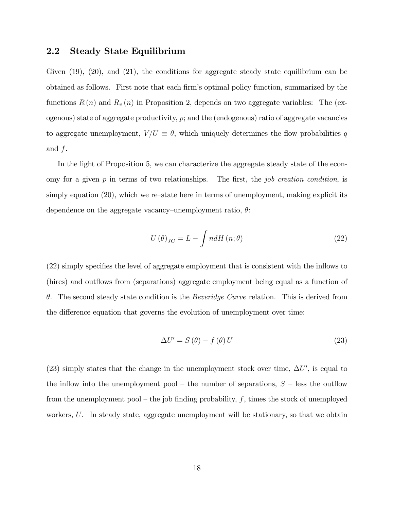#### 2.2 Steady State Equilibrium

Given  $(19)$ ,  $(20)$ , and  $(21)$ , the conditions for aggregate steady state equilibrium can be obtained as follows. First note that each Örmís optimal policy function, summarized by the functions  $R(n)$  and  $R_v(n)$  in Proposition 2, depends on two aggregate variables: The (exogenous) state of aggregate productivity,  $p$ ; and the (endogenous) ratio of aggregate vacancies to aggregate unemployment,  $V/U \equiv \theta$ , which uniquely determines the flow probabilities q and f.

In the light of Proposition 5, we can characterize the aggregate steady state of the economy for a given  $p$  in terms of two relationships. The first, the *job creation condition*, is simply equation  $(20)$ , which we re-state here in terms of unemployment, making explicit its dependence on the aggregate vacancy–unemployment ratio,  $\theta$ :

$$
U(\theta)_{JC} = L - \int n dH(n; \theta)
$$
\n(22)

 $(22)$  simply specifies the level of aggregate employment that is consistent with the inflows to (hires) and outflows from (separations) aggregate employment being equal as a function of  $\theta$ . The second steady state condition is the *Beveridge Curve* relation. This is derived from the difference equation that governs the evolution of unemployment over time:

$$
\Delta U' = S(\theta) - f(\theta) U \tag{23}
$$

(23) simply states that the change in the unemployment stock over time,  $\Delta U'$ , is equal to the inflow into the unemployment pool – the number of separations,  $S$  – less the outflow from the unemployment pool – the job finding probability, f, times the stock of unemployed workers, U. In steady state, aggregate unemployment will be stationary, so that we obtain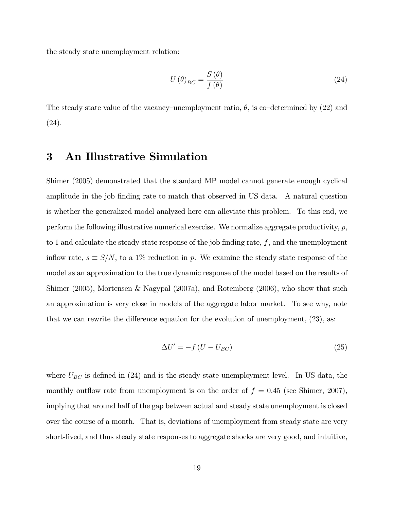the steady state unemployment relation:

$$
U(\theta)_{BC} = \frac{S(\theta)}{f(\theta)}
$$
\n(24)

The steady state value of the vacancy–unemployment ratio,  $\theta$ , is co–determined by (22) and (24).

## 3 An Illustrative Simulation

Shimer (2005) demonstrated that the standard MP model cannot generate enough cyclical amplitude in the job finding rate to match that observed in US data. A natural question is whether the generalized model analyzed here can alleviate this problem. To this end, we perform the following illustrative numerical exercise. We normalize aggregate productivity,  $p$ , to 1 and calculate the steady state response of the job finding rate,  $f$ , and the unemployment inflow rate,  $s \equiv S/N$ , to a 1% reduction in p. We examine the steady state response of the model as an approximation to the true dynamic response of the model based on the results of Shimer (2005), Mortensen & Nagypal (2007a), and Rotemberg (2006), who show that such an approximation is very close in models of the aggregate labor market. To see why, note that we can rewrite the difference equation for the evolution of unemployment,  $(23)$ , as:

$$
\Delta U' = -f\left(U - U_{BC}\right) \tag{25}
$$

where  $U_{BC}$  is defined in (24) and is the steady state unemployment level. In US data, the monthly outflow rate from unemployment is on the order of  $f = 0.45$  (see Shimer, 2007). implying that around half of the gap between actual and steady state unemployment is closed over the course of a month. That is, deviations of unemployment from steady state are very short-lived, and thus steady state responses to aggregate shocks are very good, and intuitive,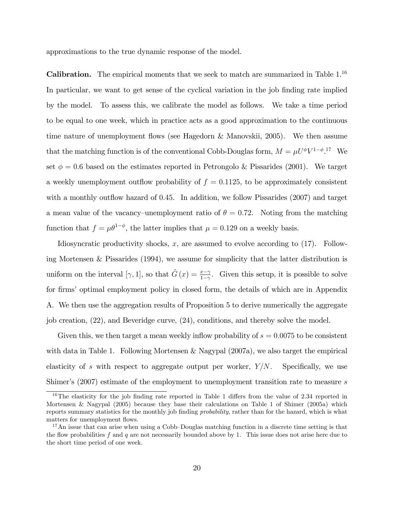approximations to the true dynamic response of the model.

**Calibration.** The empirical moments that we seek to match are summarized in Table  $1^{16}$ In particular, we want to get sense of the cyclical variation in the job finding rate implied by the model. To assess this, we calibrate the model as follows. We take a time period to be equal to one week, which in practice acts as a good approximation to the continuous time nature of unemployment áows (see Hagedorn & Manovskii, 2005). We then assume that the matching function is of the conventional Cobb-Douglas form,  $M = \mu U^{\phi} V^{1-\phi}$ .<sup>17</sup> We set  $\phi = 0.6$  based on the estimates reported in Petrongolo & Pissarides (2001). We target a weekly unemployment outflow probability of  $f = 0.1125$ , to be approximately consistent with a monthly outflow hazard of  $0.45$ . In addition, we follow Pissarides (2007) and target a mean value of the vacancy–unemployment ratio of  $\theta = 0.72$ . Noting from the matching function that  $f = \mu \theta^{1-\phi}$ , the latter implies that  $\mu = 0.129$  on a weekly basis.

Idiosyncratic productivity shocks,  $x$ , are assumed to evolve according to  $(17)$ . Following Mortensen & Pissarides (1994), we assume for simplicity that the latter distribution is uniform on the interval  $[\gamma, 1]$ , so that  $\tilde{G}(x) = \frac{x - \gamma}{1 - \gamma}$ . Given this setup, it is possible to solve for firms' optimal employment policy in closed form, the details of which are in Appendix A. We then use the aggregation results of Proposition 5 to derive numerically the aggregate job creation, (22), and Beveridge curve, (24), conditions, and thereby solve the model.

Given this, we then target a mean weekly inflow probability of  $s = 0.0075$  to be consistent with data in Table 1. Following Mortensen & Nagypal (2007a), we also target the empirical elasticity of s with respect to aggregate output per worker,  $Y/N$ . Specifically, we use Shimer's  $(2007)$  estimate of the employment to unemployment transition rate to measure s

<sup>&</sup>lt;sup>16</sup>The elasticity for the job finding rate reported in Table 1 differs from the value of 2.34 reported in Mortensen & Nagypal (2005) because they base their calculations on Table 1 of Shimer (2005a) which reports summary statistics for the monthly job finding *probability*, rather than for the hazard, which is what matters for unemployment flows.

 $17$ An issue that can arise when using a Cobb-Douglas matching function in a discrete time setting is that the flow probabilities f and q are not necessarily bounded above by 1. This issue does not arise here due to the short time period of one week.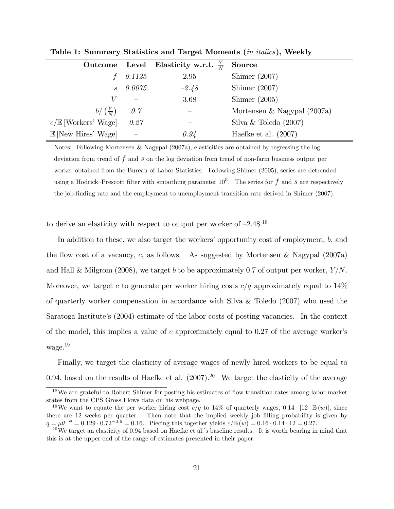| Outcome Level                  |        | Elasticity w.r.t. $\frac{Y}{N}$ | Source                        |
|--------------------------------|--------|---------------------------------|-------------------------------|
|                                | 0.1125 | 2.95                            | Shimer $(2007)$               |
| $\mathcal{S}$                  | 0.0075 | $-2.48$                         | Shimer $(2007)$               |
|                                |        | 3.68                            | Shimer $(2005)$               |
| $b/\left(\frac{Y}{N}\right)$   | 0.7    |                                 | Mortensen & Nagypal $(2007a)$ |
| $c/\mathbb{E}$ [Workers' Wage] | 0.27   |                                 | Silva & Toledo $(2007)$       |
| $\mathbb{E}$ [New Hires' Wage] |        | 0.94                            | Haefke et al. $(2007)$        |

Table 1: Summary Statistics and Target Moments (*in italics*), Weekly

Notes: Following Mortensen & Nagypal (2007a), elasticities are obtained by regressing the log deviation from trend of  $f$  and  $s$  on the log deviation from trend of non-farm business output per worker obtained from the Bureau of Labor Statistics. Following Shimer (2005), series are detrended using a Hodrick–Prescott filter with smoothing parameter  $10^5$ . The series for f and s are respectively the job-finding rate and the employment to unemployment transition rate derived in Shimer (2007).

to derive an elasticity with respect to output per worker of  $-2.48^{18}$ 

In addition to these, we also target the workers' opportunity cost of employment,  $b$ , and the flow cost of a vacancy, c, as follows. As suggested by Mortensen & Nagypal  $(2007a)$ and Hall & Milgrom (2008), we target b to be approximately 0.7 of output per worker,  $Y/N$ . Moreover, we target c to generate per worker hiring costs  $c/q$  approximately equal to 14% of quarterly worker compensation in accordance with Silva & Toledo (2007) who used the Saratoga Institute's (2004) estimate of the labor costs of posting vacancies. In the context of the model, this implies a value of c approximately equal to  $0.27$  of the average worker's wage.<sup>19</sup>

Finally, we target the elasticity of average wages of newly hired workers to be equal to 0.94, based on the results of Haefke et al.  $(2007)^{20}$  We target the elasticity of the average

<sup>&</sup>lt;sup>18</sup>We are grateful to Robert Shimer for posting his estimates of flow transition rates among labor market states from the CPS Gross Flows data on his webpage.

<sup>&</sup>lt;sup>19</sup>We want to equate the per worker hiring cost  $c/q$  to 14% of quarterly wages, 0.14  $\cdot$  [12  $\cdot \mathbb{E}(w)$ ], since there are 12 weeks per quarter. Then note that the implied weekly job filling probability is given by  $q = \mu \theta^{-\phi} = 0.129 \cdot 0.72^{-0.6} = 0.16$ . Piecing this together yields  $c/\mathbb{E}(w) = 0.16 \cdot 0.14 \cdot 12 = 0.27$ .

 $20$ We target an elasticity of 0.94 based on Haefke et al.'s baseline results. It is worth bearing in mind that this is at the upper end of the range of estimates presented in their paper.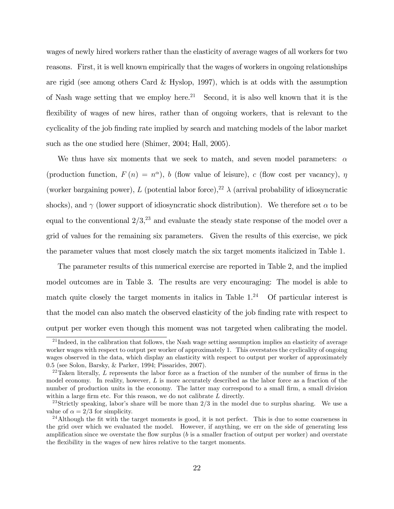wages of newly hired workers rather than the elasticity of average wages of all workers for two reasons. First, it is well known empirically that the wages of workers in ongoing relationships are rigid (see among others Card & Hyslop, 1997), which is at odds with the assumption of Nash wage setting that we employ here.<sup>21</sup> Second, it is also well known that it is the flexibility of wages of new hires, rather than of ongoing workers, that is relevant to the cyclicality of the job Önding rate implied by search and matching models of the labor market such as the one studied here (Shimer, 2004; Hall, 2005).

We thus have six moments that we seek to match, and seven model parameters:  $\alpha$ (production function,  $F(n) = n^{\alpha}$ ), b (flow value of leisure), c (flow cost per vacancy),  $\eta$ (worker bargaining power), L (potential labor force),<sup>22</sup>  $\lambda$  (arrival probability of idiosyncratic shocks), and  $\gamma$  (lower support of idiosyncratic shock distribution). We therefore set  $\alpha$  to be equal to the conventional  $2/3$ ,<sup>23</sup> and evaluate the steady state response of the model over a grid of values for the remaining six parameters. Given the results of this exercise, we pick the parameter values that most closely match the six target moments italicized in Table 1.

The parameter results of this numerical exercise are reported in Table 2, and the implied model outcomes are in Table 3. The results are very encouraging: The model is able to match quite closely the target moments in italics in Table  $1.^{24}$  Of particular interest is that the model can also match the observed elasticity of the job Önding rate with respect to output per worker even though this moment was not targeted when calibrating the model.

 $^{21}$ Indeed, in the calibration that follows, the Nash wage setting assumption implies an elasticity of average worker wages with respect to output per worker of approximately 1. This overstates the cyclicality of ongoing wages observed in the data, which display an elasticity with respect to output per worker of approximately 0.5 (see Solon, Barsky, & Parker, 1994; Pissarides, 2007).

 $22$ Taken literally, L represents the labor force as a fraction of the number of the number of firms in the model economy. In reality, however,  $L$  is more accurately described as the labor force as a fraction of the number of production units in the economy. The latter may correspond to a small firm, a small division within a large firm etc. For this reason, we do not calibrate  $L$  directly.

<sup>&</sup>lt;sup>23</sup>Strictly speaking, labor's share will be more than  $2/3$  in the model due to surplus sharing. We use a value of  $\alpha = 2/3$  for simplicity.

 $^{24}$ Although the fit with the target moments is good, it is not perfect. This is due to some coarseness in the grid over which we evaluated the model. However, if anything, we err on the side of generating less amplification since we overstate the flow surplus  $(b \text{ is a smaller fraction of output per worker})$  and overstate the flexibility in the wages of new hires relative to the target moments.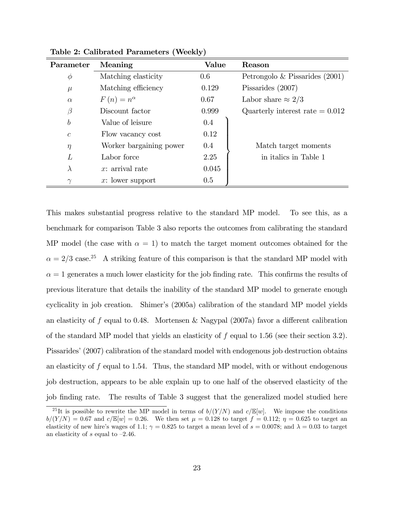| Parameter        | Meaning                 | Value   | Reason                            |
|------------------|-------------------------|---------|-----------------------------------|
| $\phi$           | Matching elasticity     | $0.6\,$ | Petrongolo & Pissarides $(2001)$  |
| $\mu$            | Matching efficiency     | 0.129   | Pissarides (2007)                 |
| $\alpha$         | $F(n)=n^{\alpha}$       | 0.67    | Labor share $\approx 2/3$         |
| $\beta$          | Discount factor         | 0.999   | Quarterly interest rate $= 0.012$ |
| $\boldsymbol{b}$ | Value of leisure        | 0.4     |                                   |
| $\mathcal{C}$    | Flow vacancy cost       | 0.12    |                                   |
| $\eta$           | Worker bargaining power | 0.4     | Match target moments              |
| L                | Labor force             | 2.25    | in italics in Table 1             |
| $\lambda$        | $x:$ arrival rate       | 0.045   |                                   |
| $\gamma$         | $x:$ lower support      | $0.5\,$ |                                   |

Table 2: Calibrated Parameters (Weekly)

This makes substantial progress relative to the standard MP model. To see this, as a benchmark for comparison Table 3 also reports the outcomes from calibrating the standard MP model (the case with  $\alpha = 1$ ) to match the target moment outcomes obtained for the  $\alpha = 2/3$  case.<sup>25</sup> A striking feature of this comparison is that the standard MP model with  $\alpha = 1$  generates a much lower elasticity for the job finding rate. This confirms the results of previous literature that details the inability of the standard MP model to generate enough cyclicality in job creation. Shimer's (2005a) calibration of the standard MP model yields an elasticity of f equal to 0.48. Mortensen & Nagypal (2007a) favor a different calibration of the standard MP model that yields an elasticity of  $f$  equal to 1.56 (see their section 3.2). Pissarides<sup>'</sup> (2007) calibration of the standard model with endogenous job destruction obtains an elasticity of  $f$  equal to 1.54. Thus, the standard MP model, with or without endogenous job destruction, appears to be able explain up to one half of the observed elasticity of the job finding rate. The results of Table 3 suggest that the generalized model studied here

<sup>&</sup>lt;sup>25</sup>It is possible to rewrite the MP model in terms of  $b/(Y/N)$  and  $c/\mathbb{E}[w]$ . We impose the conditions  $b/(Y/N) = 0.67$  and  $c/\mathbb{E}[w] = 0.26$ . We then set  $\mu = 0.128$  to target  $f = 0.112$ ;  $\eta = 0.625$  to target an elasticity of new hire's wages of 1.1;  $\gamma = 0.825$  to target a mean level of  $s = 0.0078$ ; and  $\lambda = 0.03$  to target an elasticity of s equal to  $-2.46$ .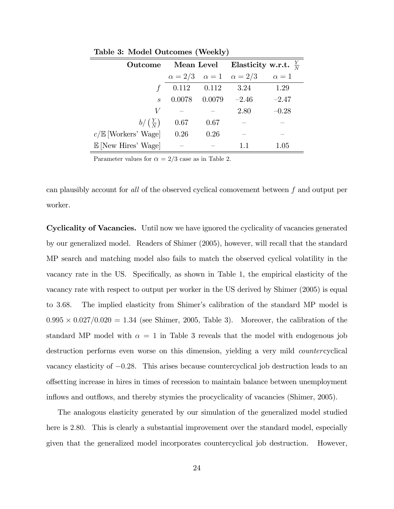|                                | Outcome Mean Level |        | Elasticity w.r.t. $\frac{Y}{N}$            |            |  |
|--------------------------------|--------------------|--------|--------------------------------------------|------------|--|
|                                |                    |        | $\alpha = 2/3$ $\alpha = 1$ $\alpha = 2/3$ | $\alpha=1$ |  |
| f                              | $0.112$ $0.112$    |        | 3.24                                       | 1.29       |  |
| $\mathcal{S}_{\mathcal{S}}$    | 0.0078             | 0.0079 | $-2.46$                                    | $-2.47$    |  |
| V                              |                    |        | 2.80                                       | $-0.28$    |  |
| $b/\left(\frac{Y}{N}\right)$   | 0.67               | 0.67   |                                            |            |  |
| $c/\mathbb{E}$ [Workers' Wage] | 0.26               | 0.26   |                                            |            |  |
| $\mathbb{E}$ [New Hires' Wage] |                    |        |                                            | 1.05       |  |

Table 3: Model Outcomes (Weekly)

Parameter values for  $\alpha = 2/3$  case as in Table 2.

can plausibly account for all of the observed cyclical comovement between f and output per worker.

Cyclicality of Vacancies. Until now we have ignored the cyclicality of vacancies generated by our generalized model. Readers of Shimer (2005), however, will recall that the standard MP search and matching model also fails to match the observed cyclical volatility in the vacancy rate in the US. Specifically, as shown in Table 1, the empirical elasticity of the vacancy rate with respect to output per worker in the US derived by Shimer (2005) is equal to 3.68. The implied elasticity from Shimer's calibration of the standard MP model is  $0.995 \times 0.027/0.020 = 1.34$  (see Shimer, 2005, Table 3). Moreover, the calibration of the standard MP model with  $\alpha = 1$  in Table 3 reveals that the model with endogenous job destruction performs even worse on this dimension, yielding a very mild countercyclical vacancy elasticity of  $-0.28$ . This arises because countercyclical job destruction leads to an o§setting increase in hires in times of recession to maintain balance between unemployment inflows and outflows, and thereby stymies the procyclicality of vacancies (Shimer, 2005).

The analogous elasticity generated by our simulation of the generalized model studied here is 2.80. This is clearly a substantial improvement over the standard model, especially given that the generalized model incorporates countercyclical job destruction. However,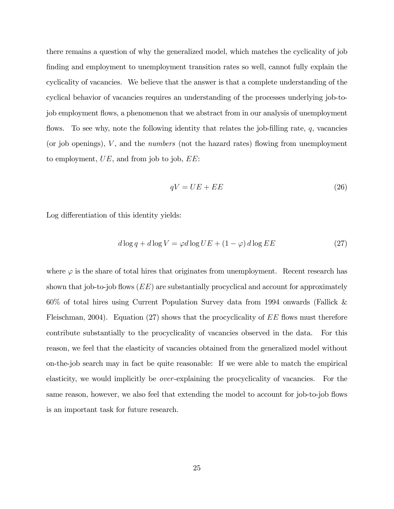there remains a question of why the generalized model, which matches the cyclicality of job finding and employment to unemployment transition rates so well, cannot fully explain the cyclicality of vacancies. We believe that the answer is that a complete understanding of the cyclical behavior of vacancies requires an understanding of the processes underlying job-tojob employment áows, a phenomenon that we abstract from in our analysis of unemployment flows. To see why, note the following identity that relates the job-filling rate,  $q$ , vacancies (or job openings),  $V$ , and the *numbers* (not the hazard rates) flowing from unemployment to employment,  $UE$ , and from job to job,  $EE$ :

$$
qV = UE + EE \tag{26}
$$

Log differentiation of this identity yields:

$$
d \log q + d \log V = \varphi d \log UE + (1 - \varphi) d \log EE \tag{27}
$$

where  $\varphi$  is the share of total hires that originates from unemployment. Recent research has shown that job-to-job flows  $(EE)$  are substantially procyclical and account for approximately 60% of total hires using Current Population Survey data from 1994 onwards (Fallick & Fleischman, 2004). Equation (27) shows that the procyclicality of  $EE$  flows must therefore contribute substantially to the procyclicality of vacancies observed in the data. For this reason, we feel that the elasticity of vacancies obtained from the generalized model without on-the-job search may in fact be quite reasonable: If we were able to match the empirical elasticity, we would implicitly be over-explaining the procyclicality of vacancies. For the same reason, however, we also feel that extending the model to account for job-to-job flows is an important task for future research.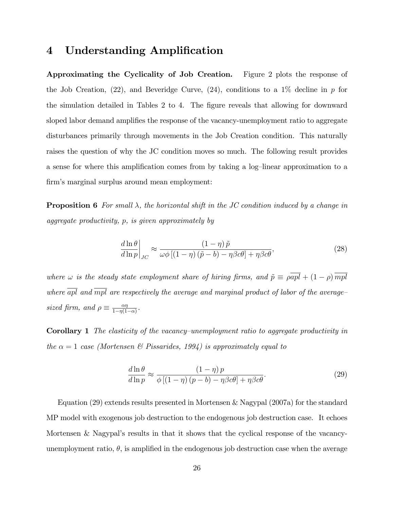### 4 Understanding Amplification

Approximating the Cyclicality of Job Creation. Figure 2 plots the response of the Job Creation,  $(22)$ , and Beveridge Curve,  $(24)$ , conditions to a  $1\%$  decline in p for the simulation detailed in Tables 2 to 4. The figure reveals that allowing for downward sloped labor demand amplifies the response of the vacancy-unemployment ratio to aggregate disturbances primarily through movements in the Job Creation condition. This naturally raises the question of why the JC condition moves so much. The following result provides a sense for where this amplification comes from by taking a log-linear approximation to a firm's marginal surplus around mean employment:

**Proposition 6** For small  $\lambda$ , the horizontal shift in the JC condition induced by a change in aggregate productivity, p, is given approximately by

$$
\left. \frac{d\ln\theta}{d\ln p} \right|_{JC} \approx \frac{(1-\eta)\,\tilde{p}}{\omega\phi\left[ (1-\eta)\left(\tilde{p}-b\right) - \eta\beta c\theta \right] + \eta\beta c\theta},\tag{28}
$$

where  $\omega$  is the steady state employment share of hiring firms, and  $\tilde{p} \equiv \rho \overline{apl} + (1 - \rho) \overline{mpl}$ where  $\overline{apl}$  and  $\overline{mpl}$  are respectively the average and marginal product of labor of the averagesized firm, and  $\rho \equiv \frac{\alpha \eta}{1 - \eta(1)}$  $\frac{\alpha\eta}{1-\eta(1-\alpha)}$ .

**Corollary 1** The elasticity of the vacancy–unemployment ratio to aggregate productivity in the  $\alpha = 1$  case (Mortensen & Pissarides, 1994) is approximately equal to

$$
\frac{d\ln\theta}{d\ln p} \approx \frac{(1-\eta)p}{\phi\left[(1-\eta)(p-b) - \eta\beta c\theta\right] + \eta\beta c\theta}.\tag{29}
$$

Equation (29) extends results presented in Mortensen & Nagypal (2007a) for the standard MP model with exogenous job destruction to the endogenous job destruction case. It echoes Mortensen & Nagypal's results in that it shows that the cyclical response of the vacancyunemployment ratio,  $\theta$ , is amplified in the endogenous job destruction case when the average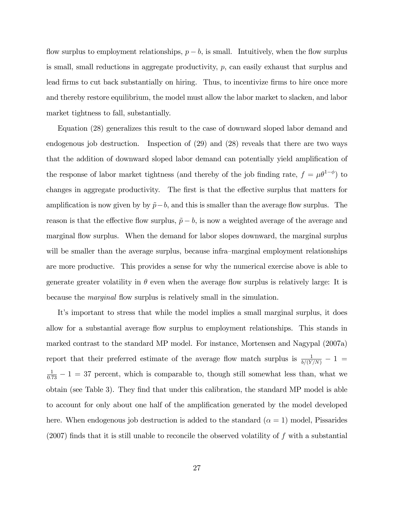flow surplus to employment relationships,  $p - b$ , is small. Intuitively, when the flow surplus is small, small reductions in aggregate productivity, p, can easily exhaust that surplus and lead firms to cut back substantially on hiring. Thus, to incentivize firms to hire once more and thereby restore equilibrium, the model must allow the labor market to slacken, and labor market tightness to fall, substantially.

Equation (28) generalizes this result to the case of downward sloped labor demand and endogenous job destruction. Inspection of (29) and (28) reveals that there are two ways that the addition of downward sloped labor demand can potentially yield amplification of the response of labor market tightness (and thereby of the job finding rate,  $f = \mu \theta^{1-\phi}$ ) to changes in aggregate productivity. The first is that the effective surplus that matters for amplification is now given by by  $\tilde{p}-b$ , and this is smaller than the average flow surplus. The reason is that the effective flow surplus,  $\tilde{p} - b$ , is now a weighted average of the average and marginal flow surplus. When the demand for labor slopes downward, the marginal surplus will be smaller than the average surplus, because infra-marginal employment relationships are more productive. This provides a sense for why the numerical exercise above is able to generate greater volatility in  $\theta$  even when the average flow surplus is relatively large: It is because the *marginal* flow surplus is relatively small in the simulation.

It's important to stress that while the model implies a small marginal surplus, it does allow for a substantial average flow surplus to employment relationships. This stands in marked contrast to the standard MP model. For instance, Mortensen and Nagypal (2007a) report that their preferred estimate of the average flow match surplus is  $\frac{1}{b/(Y/N)} - 1$  $\frac{1}{0.73} - 1 = 37$  percent, which is comparable to, though still somewhat less than, what we obtain (see Table 3). They find that under this calibration, the standard MP model is able to account for only about one half of the amplification generated by the model developed here. When endogenous job destruction is added to the standard  $(\alpha = 1)$  model, Pissarides  $(2007)$  finds that it is still unable to reconcile the observed volatility of f with a substantial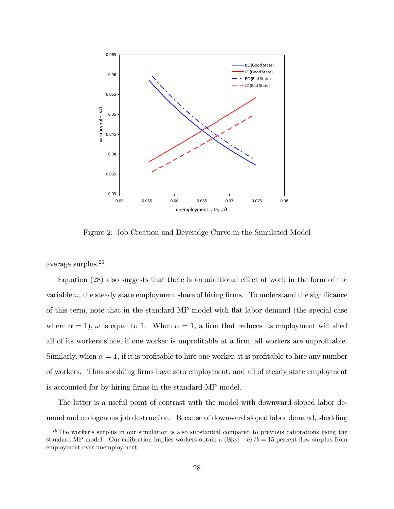

Figure 2: Job Creation and Beveridge Curve in the Simulated Model

average surplus.<sup>26</sup>

Equation  $(28)$  also suggests that there is an additional effect at work in the form of the variable  $\omega$ , the steady state employment share of hiring firms. To understand the significance of this term, note that in the standard MP model with áat labor demand (the special case where  $\alpha = 1$ ,  $\omega$  is equal to 1. When  $\alpha = 1$ , a firm that reduces its employment will shed all of its workers since, if one worker is unprofitable at a firm, all workers are unprofitable. Similarly, when  $\alpha = 1$ , if it is profitable to hire one worker, it is profitable to hire any number of workers. Thus shedding Örms have zero employment, and all of steady state employment is accounted for by hiring firms in the standard MP model.

The latter is a useful point of contrast with the model with downward sloped labor demand and endogenous job destruction. Because of downward sloped labor demand, shedding

 $26$ The worker's surplus in our simulation is also substantial compared to previous calibrations using the standard MP model. Our calibration implies workers obtain a  $(\mathbb{E}[w] - b)/b = 15$  percent flow surplus from employment over unemployment.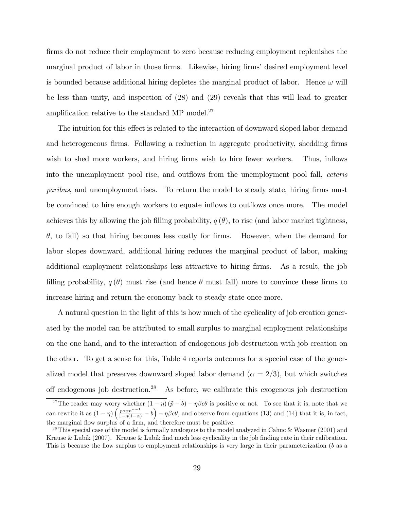firms do not reduce their employment to zero because reducing employment replenishes the marginal product of labor in those firms. Likewise, hiring firms' desired employment level is bounded because additional hiring depletes the marginal product of labor. Hence  $\omega$  will be less than unity, and inspection of (28) and (29) reveals that this will lead to greater amplification relative to the standard MP model. $27$ 

The intuition for this effect is related to the interaction of downward sloped labor demand and heterogeneous firms. Following a reduction in aggregate productivity, shedding firms wish to shed more workers, and hiring firms wish to hire fewer workers. Thus, inflows into the unemployment pool rise, and outflows from the unemployment pool fall, *ceteris* paribus, and unemployment rises. To return the model to steady state, hiring firms must be convinced to hire enough workers to equate inflows to outflows once more. The model achieves this by allowing the job filling probability,  $q(\theta)$ , to rise (and labor market tightness,  $\theta$ , to fall) so that hiring becomes less costly for firms. However, when the demand for labor slopes downward, additional hiring reduces the marginal product of labor, making additional employment relationships less attractive to hiring firms. As a result, the job filling probability,  $q(\theta)$  must rise (and hence  $\theta$  must fall) more to convince these firms to increase hiring and return the economy back to steady state once more.

A natural question in the light of this is how much of the cyclicality of job creation generated by the model can be attributed to small surplus to marginal employment relationships on the one hand, and to the interaction of endogenous job destruction with job creation on the other. To get a sense for this, Table 4 reports outcomes for a special case of the generalized model that preserves downward sloped labor demand  $(\alpha = 2/3)$ , but which switches off endogenous job destruction.<sup>28</sup> As before, we calibrate this exogenous job destruction

<sup>&</sup>lt;sup>27</sup>The reader may worry whether  $(1 - \eta) (\tilde{p} - b) - \eta \beta c \theta$  is positive or not. To see that it is, note that we can rewrite it as  $(1 - \eta) \left( \frac{p \alpha x n^{\alpha - 1}}{1 - \eta (1 - \alpha)} - b \right) - \eta \beta c \theta$ , and observe from equations (13) and (14) that it is, in fact, the marginal flow surplus of a firm, and therefore must be positive.

<sup>&</sup>lt;sup>28</sup>This special case of the model is formally analogous to the model analyzed in Cahuc & Wasmer (2001) and Krause & Lubik (2007). Krause & Lubik find much less cyclicality in the job finding rate in their calibration. This is because the flow surplus to employment relationships is very large in their parameterization (b as a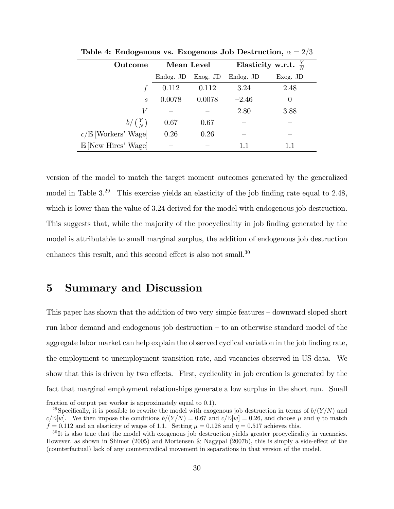| Outcome                        | Mean Level |            | Elasticity w.r.t. $\frac{Y}{N}$ |            |
|--------------------------------|------------|------------|---------------------------------|------------|
|                                | Endog. JD  | $Exog.$ JD | Endog. JD                       | $Exog.$ JD |
|                                | 0.112      | 0.112      | 3.24                            | 2.48       |
| $\mathcal{S}_{\mathcal{S}}$    | 0.0078     | 0.0078     | $-2.46$                         | $\theta$   |
| V                              |            |            | 2.80                            | 3.88       |
| $b/\left(\frac{Y}{N}\right)$   | 0.67       | 0.67       |                                 |            |
| $c/\mathbb{E}$ [Workers' Wage] | 0.26       | 0.26       |                                 |            |
| $\mathbb{E}$ [New Hires' Wage] |            |            | 11                              | 11         |

Table 4: Endogenous vs. Exogenous Job Destruction,  $\alpha = 2/3$ 

version of the model to match the target moment outcomes generated by the generalized model in Table  $3^{29}$  This exercise yields an elasticity of the job finding rate equal to 2.48, which is lower than the value of 3:24 derived for the model with endogenous job destruction. This suggests that, while the majority of the procyclicality in job finding generated by the model is attributable to small marginal surplus, the addition of endogenous job destruction enhances this result, and this second effect is also not small. $30$ 

### 5 Summary and Discussion

This paper has shown that the addition of two very simple features  $-\frac{1}{2}$  downward sloped short run labor demand and endogenous job destruction  $-$  to an otherwise standard model of the aggregate labor market can help explain the observed cyclical variation in the job finding rate, the employment to unemployment transition rate, and vacancies observed in US data. We show that this is driven by two effects. First, cyclicality in job creation is generated by the fact that marginal employment relationships generate a low surplus in the short run. Small

fraction of output per worker is approximately equal to 0.1).

<sup>&</sup>lt;sup>29</sup>Specifically, it is possible to rewrite the model with exogenous job destruction in terms of  $b/(Y/N)$  and  $c/\mathbb{E}[w]$ . We then impose the conditions  $b/(Y/N) = 0.67$  and  $c/\mathbb{E}[w] = 0.26$ , and choose  $\mu$  and  $\eta$  to match  $f = 0.112$  and an elasticity of wages of 1.1. Setting  $\mu = 0.128$  and  $\eta = 0.517$  achieves this.

<sup>&</sup>lt;sup>30</sup>It is also true that the model with exogenous job destruction yields greater procyclicality in vacancies. However, as shown in Shimer (2005) and Mortensen & Nagypal (2007b), this is simply a side-effect of the (counterfactual) lack of any countercyclical movement in separations in that version of the model.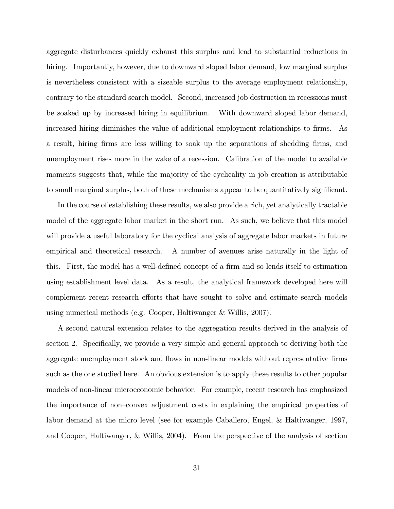aggregate disturbances quickly exhaust this surplus and lead to substantial reductions in hiring. Importantly, however, due to downward sloped labor demand, low marginal surplus is nevertheless consistent with a sizeable surplus to the average employment relationship, contrary to the standard search model. Second, increased job destruction in recessions must be soaked up by increased hiring in equilibrium. With downward sloped labor demand, increased hiring diminishes the value of additional employment relationships to firms. As a result, hiring firms are less willing to soak up the separations of shedding firms, and unemployment rises more in the wake of a recession. Calibration of the model to available moments suggests that, while the majority of the cyclicality in job creation is attributable to small marginal surplus, both of these mechanisms appear to be quantitatively significant.

In the course of establishing these results, we also provide a rich, yet analytically tractable model of the aggregate labor market in the short run. As such, we believe that this model will provide a useful laboratory for the cyclical analysis of aggregate labor markets in future empirical and theoretical research. A number of avenues arise naturally in the light of this. First, the model has a well-defined concept of a firm and so lends itself to estimation using establishment level data. As a result, the analytical framework developed here will complement recent research efforts that have sought to solve and estimate search models using numerical methods (e.g. Cooper, Haltiwanger & Willis, 2007).

A second natural extension relates to the aggregation results derived in the analysis of section 2. Specifically, we provide a very simple and general approach to deriving both the aggregate unemployment stock and flows in non-linear models without representative firms such as the one studied here. An obvious extension is to apply these results to other popular models of non-linear microeconomic behavior. For example, recent research has emphasized the importance of non-convex adjustment costs in explaining the empirical properties of labor demand at the micro level (see for example Caballero, Engel, & Haltiwanger, 1997, and Cooper, Haltiwanger, & Willis, 2004). From the perspective of the analysis of section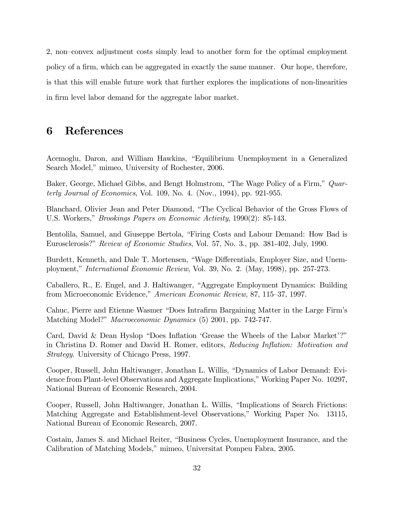2, non-convex adjustment costs simply lead to another form for the optimal employment policy of a firm, which can be aggregated in exactly the same manner. Our hope, therefore, is that this will enable future work that further explores the implications of non-linearities in firm level labor demand for the aggregate labor market.

### 6 References

Acemoglu, Daron, and William Hawkins, "Equilibrium Unemployment in a Generalized Search Model," mimeo, University of Rochester, 2006.

Baker, George, Michael Gibbs, and Bengt Holmstrom, "The Wage Policy of a Firm," Quarterly Journal of Economics, Vol. 109, No. 4. (Nov., 1994), pp. 921-955.

Blanchard, Olivier Jean and Peter Diamond, "The Cyclical Behavior of the Gross Flows of U.S. Workers," *Brookings Papers on Economic Activity*, 1990(2): 85-143.

Bentolila, Samuel, and Giuseppe Bertola, "Firing Costs and Labour Demand: How Bad is Eurosclerosis?" Review of Economic Studies, Vol. 57, No. 3., pp. 381-402, July, 1990.

Burdett, Kenneth, and Dale T. Mortensen, "Wage Differentials, Employer Size, and Unemployment," *International Economic Review*, Vol. 39, No. 2. (May, 1998), pp. 257-273.

Caballero, R., E. Engel, and J. Haltiwanger, "Aggregate Employment Dynamics: Building from Microeconomic Evidence," American Economic Review, 87, 115–37, 1997.

Cahuc, Pierre and Etienne Wasmer "Does Intrafirm Bargaining Matter in the Large Firm's Matching Model?" *Macroeconomic Dynamics* (5) 2001, pp. 742-747.

Card, David & Dean Hyslop "Does Inflation 'Grease the Wheels of the Labor Market'?" in Christina D. Romer and David H. Romer, editors, Reducing Inflation: Motivation and Strategy. University of Chicago Press, 1997.

Cooper, Russell, John Haltiwanger, Jonathan L. Willis, "Dynamics of Labor Demand: Evidence from Plant-level Observations and Aggregate Implications," Working Paper No. 10297, National Bureau of Economic Research, 2004.

Cooper, Russell, John Haltiwanger, Jonathan L. Willis, "Implications of Search Frictions: Matching Aggregate and Establishment-level Observations," Working Paper No. 13115, National Bureau of Economic Research, 2007.

Costain, James S. and Michael Reiter, "Business Cycles, Unemployment Insurance, and the Calibration of Matching Models," mimeo, Universitat Pompeu Fabra, 2005.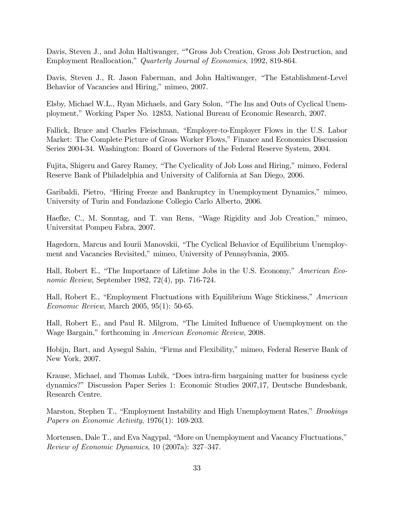Davis, Steven J., and John Haltiwanger, ""Gross Job Creation, Gross Job Destruction, and Employment Reallocation," Quarterly Journal of Economics, 1992, 819-864.

Davis, Steven J., R. Jason Faberman, and John Haltiwanger, "The Establishment-Level Behavior of Vacancies and Hiring," mimeo, 2007.

Elsby, Michael W.L., Ryan Michaels, and Gary Solon, "The Ins and Outs of Cyclical Unemployment,îWorking Paper No. 12853, National Bureau of Economic Research, 2007.

Fallick, Bruce and Charles Fleischman, "Employer-to-Employer Flows in the U.S. Labor Market: The Complete Picture of Gross Worker Flows," Finance and Economics Discussion Series 2004-34. Washington: Board of Governors of the Federal Reserve System, 2004.

Fujita, Shigeru and Garey Ramey, "The Cyclicality of Job Loss and Hiring," mimeo, Federal Reserve Bank of Philadelphia and University of California at San Diego, 2006.

Garibaldi, Pietro, "Hiring Freeze and Bankruptcy in Unemployment Dynamics," mimeo, University of Turin and Fondazione Collegio Carlo Alberto, 2006.

Haefke, C., M. Sonntag, and T. van Rens, "Wage Rigidity and Job Creation," mimeo, Universitat Pompeu Fabra, 2007.

Hagedorn, Marcus and Iourii Manovskii, "The Cyclical Behavior of Equilibrium Unemployment and Vacancies Revisited," mimeo, University of Pennsylvania, 2005.

Hall, Robert E., "The Importance of Lifetime Jobs in the U.S. Economy," American Economic Review, September 1982, 72(4), pp. 716-724.

Hall, Robert E., "Employment Fluctuations with Equilibrium Wage Stickiness," American Economic Review, March 2005, 95(1): 50-65.

Hall, Robert E., and Paul R. Milgrom, "The Limited Influence of Unemployment on the Wage Bargain," forthcoming in American Economic Review, 2008.

Hobijn, Bart, and Aysegul Sahin, "Firms and Flexibility," mimeo, Federal Reserve Bank of New York, 2007.

Krause, Michael, and Thomas Lubik, "Does intra-firm bargaining matter for business cycle dynamics?î Discussion Paper Series 1: Economic Studies 2007,17, Deutsche Bundesbank, Research Centre.

Marston, Stephen T., "Employment Instability and High Unemployment Rates," *Brookings* Papers on Economic Activity, 1976(1): 169-203.

Mortensen, Dale T., and Eva Nagypal, "More on Unemployment and Vacancy Fluctuations," Review of Economic Dynamics,  $10$  (2007a): 327–347.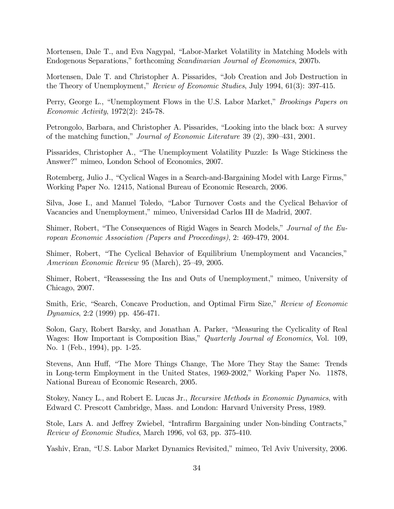Mortensen, Dale T., and Eva Nagypal, "Labor-Market Volatility in Matching Models with Endogenous Separations,î forthcoming Scandinavian Journal of Economics, 2007b.

Mortensen, Dale T. and Christopher A. Pissarides, "Job Creation and Job Destruction in the Theory of Unemployment," Review of Economic Studies, July 1994, 61(3): 397-415.

Perry, George L., "Unemployment Flows in the U.S. Labor Market," *Brookings Papers on* Economic Activity, 1972(2): 245-78.

Petrongolo, Barbara, and Christopher A. Pissarides, "Looking into the black box: A survey of the matching function," Journal of Economic Literature 39 (2), 390–431, 2001.

Pissarides, Christopher A., "The Unemployment Volatility Puzzle: Is Wage Stickiness the Answer?" mimeo, London School of Economics, 2007.

Rotemberg, Julio J., "Cyclical Wages in a Search-and-Bargaining Model with Large Firms," Working Paper No. 12415, National Bureau of Economic Research, 2006.

Silva, Jose I., and Manuel Toledo, "Labor Turnover Costs and the Cyclical Behavior of Vacancies and Unemployment," mimeo, Universidad Carlos III de Madrid, 2007.

Shimer, Robert, "The Consequences of Rigid Wages in Search Models," Journal of the European Economic Association (Papers and Proceedings), 2: 469-479, 2004.

Shimer, Robert, "The Cyclical Behavior of Equilibrium Unemployment and Vacancies," American Economic Review 95 (March),  $25-49$ , 2005.

Shimer, Robert, "Reassessing the Ins and Outs of Unemployment," mimeo, University of Chicago, 2007.

Smith, Eric, "Search, Concave Production, and Optimal Firm Size," Review of Economic *Dynamics*, 2:2 (1999) pp. 456-471.

Solon, Gary, Robert Barsky, and Jonathan A. Parker, "Measuring the Cyclicality of Real Wages: How Important is Composition Bias," Quarterly Journal of Economics, Vol. 109, No. 1 (Feb., 1994), pp. 1-25.

Stevens, Ann Huff, "The More Things Change, The More They Stay the Same: Trends in Long-term Employment in the United States, 1969-2002," Working Paper No. 11878, National Bureau of Economic Research, 2005.

Stokey, Nancy L., and Robert E. Lucas Jr., Recursive Methods in Economic Dynamics, with Edward C. Prescott Cambridge, Mass. and London: Harvard University Press, 1989.

Stole, Lars A. and Jeffrey Zwiebel, "Intrafirm Bargaining under Non-binding Contracts," Review of Economic Studies, March 1996, vol 63, pp. 375-410.

Yashiv, Eran, "U.S. Labor Market Dynamics Revisited," mimeo, Tel Aviv University, 2006.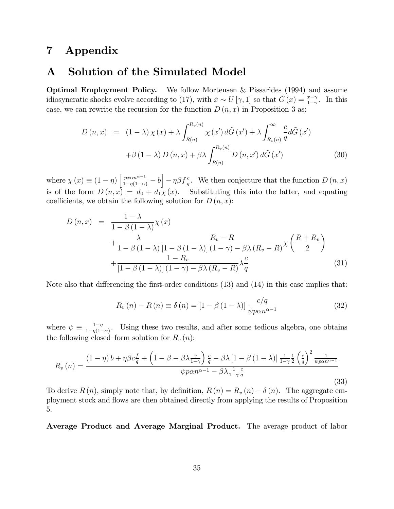# 7 Appendix

### A Solution of the Simulated Model

Optimal Employment Policy. We follow Mortensen & Pissarides (1994) and assume idiosyncratic shocks evolve according to (17), with  $\tilde{x} \sim U[\gamma, 1]$  so that  $\tilde{G}(x) = \frac{x-\gamma}{1-\gamma}$ . In this case, we can rewrite the recursion for the function  $D(n, x)$  in Proposition 3 as:

$$
D(n,x) = (1 - \lambda) \chi(x) + \lambda \int_{R(n)}^{R_v(n)} \chi(x') d\tilde{G}(x') + \lambda \int_{R_v(n)}^{\infty} \frac{c}{q} d\tilde{G}(x')
$$
  
+  $\beta(1 - \lambda) D(n,x) + \beta \lambda \int_{R(n)}^{R_v(n)} D(n,x') d\tilde{G}(x')$  (30)

where  $\chi(x) \equiv (1 - \eta) \left[ \frac{p x \alpha n^{\alpha - 1}}{1 - \eta (1 - \alpha)} - b \right] - \eta \beta f_{q}^{c}$ . We then conjecture that the function  $D(n, x)$ is of the form  $D(n, x) = d_0 + d_1 x(x)$ . Substituting this into the latter, and equating coefficients, we obtain the following solution for  $D(n, x)$ :

$$
D(n,x) = \frac{1-\lambda}{1-\beta(1-\lambda)}\chi(x)
$$
  
 
$$
+\frac{\lambda}{1-\beta(1-\lambda)}\frac{R_v - R}{[1-\beta(1-\lambda)](1-\gamma) - \beta\lambda(R_v - R)}\chi\left(\frac{R+R_v}{2}\right)
$$
  
 
$$
+\frac{1-R_v}{[1-\beta(1-\lambda)](1-\gamma) - \beta\lambda(R_v - R)}\lambda\frac{c}{q}
$$
(31)

Note also that differencing the first-order conditions  $(13)$  and  $(14)$  in this case implies that:

$$
R_v(n) - R(n) \equiv \delta(n) = \left[1 - \beta(1 - \lambda)\right] \frac{c/q}{\psi p \alpha n^{\alpha - 1}}
$$
\n(32)

where  $\psi \equiv \frac{1-\eta}{1-\eta(1-\eta)}$  $\frac{1-\eta}{1-\eta(1-\alpha)}$ . Using these two results, and after some tedious algebra, one obtains the following closed–form solution for  $R_v(n)$ :

$$
R_v(n) = \frac{(1 - \eta) b + \eta \beta c \frac{f}{q} + \left(1 - \beta - \beta \lambda \frac{\gamma}{1 - \gamma}\right) \frac{c}{q} - \beta \lambda \left[1 - \beta \left(1 - \lambda\right)\right] \frac{1}{1 - \gamma^{\frac{1}{2}}} \left(\frac{c}{q}\right)^2 \frac{1}{\psi p \alpha n^{\alpha - 1}}}{\psi p \alpha n^{\alpha - 1} - \beta \lambda \frac{1}{1 - \gamma} \frac{c}{q}}
$$
\n(33)

To derive  $R(n)$ , simply note that, by definition,  $R(n) = R_v(n) - \delta(n)$ . The aggregate employment stock and áows are then obtained directly from applying the results of Proposition 5.

Average Product and Average Marginal Product. The average product of labor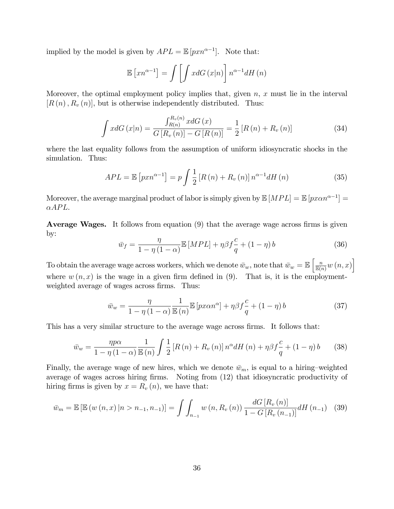implied by the model is given by  $APL = \mathbb{E}[pxn^{\alpha-1}]$ . Note that:

$$
\mathbb{E}\left[xn^{\alpha-1}\right] = \int \left[\int x dG\left(x|n\right)\right] n^{\alpha-1} dH\left(n\right)
$$

Moreover, the optimal employment policy implies that, given  $n, x$  must lie in the interval  $[R(n), R_v(n)]$ , but is otherwise independently distributed. Thus:

$$
\int x dG(x|n) = \frac{\int_{R(n)}^{R_v(n)} x dG(x)}{G[R_v(n)] - G[R(n)]} = \frac{1}{2} [R(n) + R_v(n)]
$$
\n(34)

where the last equality follows from the assumption of uniform idiosyncratic shocks in the simulation. Thus:

$$
APL = \mathbb{E}\left[pxn^{\alpha-1}\right] = p\int \frac{1}{2}\left[R\left(n\right) + R_v\left(n\right)\right]n^{\alpha-1}dH\left(n\right) \tag{35}
$$

Moreover, the average marginal product of labor is simply given by  $\mathbb{E}[MPL] = \mathbb{E}[px\alpha n^{\alpha-1}] =$  $\alpha APL.$ 

**Average Wages.** It follows from equation  $(9)$  that the average wage across firms is given by:

$$
\bar{w}_f = \frac{\eta}{1 - \eta (1 - \alpha)} \mathbb{E} \left[ MPL \right] + \eta \beta f \frac{c}{q} + (1 - \eta) b \tag{36}
$$

To obtain the average wage across workers, which we denote  $\bar{w}_w$ , note that  $\bar{w}_w = \mathbb{E}\left[\frac{n}{\mathbb{E}(n)}w(n,x)\right]$ where  $w(n, x)$  is the wage in a given firm defined in (9). That is, it is the employmentweighted average of wages across firms. Thus:

$$
\bar{w}_w = \frac{\eta}{1 - \eta \left(1 - \alpha\right)} \frac{1}{\mathbb{E}\left(n\right)} \mathbb{E}\left[px\alpha n^{\alpha}\right] + \eta \beta f \frac{c}{q} + \left(1 - \eta\right)b\tag{37}
$$

This has a very similar structure to the average wage across firms. It follows that:

$$
\bar{w}_w = \frac{\eta p \alpha}{1 - \eta (1 - \alpha)} \frac{1}{\mathbb{E}(n)} \int \frac{1}{2} \left[ R(n) + R_v(n) \right] n^{\alpha} dH(n) + \eta \beta f \frac{c}{q} + (1 - \eta) b \tag{38}
$$

Finally, the average wage of new hires, which we denote  $\bar{w}_m$ , is equal to a hiring-weighted average of wages across hiring firms. Noting from  $(12)$  that idiosyncratic productivity of hiring firms is given by  $x = R_v(n)$ , we have that:

$$
\bar{w}_m = \mathbb{E}\left[\mathbb{E}\left(w\left(n,x\right)\middle|n>n_{-1},n_{-1}\right)\right] = \int \int_{n_{-1}} w\left(n,R_v\left(n\right)\right) \frac{dG\left[R_v\left(n\right)\right]}{1-G\left[R_v\left(n_{-1}\right)\right]} dH\left(n_{-1}\right) \tag{39}
$$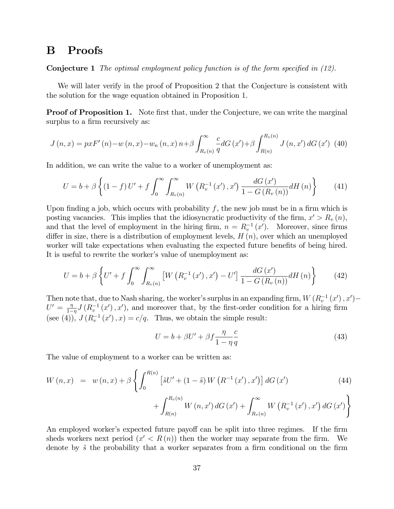### B Proofs

**Conjecture 1** The optimal employment policy function is of the form specified in  $(12)$ .

We will later verify in the proof of Proposition 2 that the Conjecture is consistent with the solution for the wage equation obtained in Proposition 1.

**Proof of Proposition 1.** Note first that, under the Conjecture, we can write the marginal surplus to a firm recursively as:

$$
J(n,x) = pxF'(n) - w(n,x) - w_n(n,x) n + \beta \int_{R_v(n)}^{\infty} \frac{c}{q} dG(x') + \beta \int_{R(n)}^{R_v(n)} J(n,x') dG(x') \tag{40}
$$

In addition, we can write the value to a worker of unemployment as:

$$
U = b + \beta \left\{ (1 - f) U' + f \int_0^\infty \int_{R_v(n)}^\infty W(R_v^{-1}(x'), x') \frac{dG(x')}{1 - G(R_v(n))} dH(n) \right\}
$$
(41)

Upon finding a job, which occurs with probability f, the new job must be in a firm which is posting vacancies. This implies that the idiosyncratic productivity of the firm,  $x' > R_v(n)$ , and that the level of employment in the hiring firm,  $n = R_v^{-1}(x')$ . Moreover, since firms differ in size, there is a distribution of employment levels,  $H(n)$ , over which an unemployed worker will take expectations when evaluating the expected future benefits of being hired. It is useful to rewrite the worker's value of unemployment as:

$$
U = b + \beta \left\{ U' + f \int_0^\infty \int_{R_v(n)}^\infty \left[ W \left( R_v^{-1} \left( x' \right), x' \right) - U' \right] \frac{dG \left( x' \right)}{1 - G \left( R_v \left( n \right) \right)} dH \left( n \right) \right\} \tag{42}
$$

Then note that, due to Nash sharing, the worker's surplus in an expanding firm,  $W(R_v^{-1}(x'), x')$  $U' = \frac{\eta}{1-\eta}$  $\frac{\eta}{1-\eta}J(R_v^{-1}(x'),x')$ , and moreover that, by the first-order condition for a hiring firm (see (4)),  $J(R_v^{-1}(x'), x) = c/q$ . Thus, we obtain the simple result:

$$
U = b + \beta U' + \beta f \frac{\eta}{1 - \eta} \frac{c}{q}
$$
\n
$$
\tag{43}
$$

The value of employment to a worker can be written as:

$$
W(n,x) = w(n,x) + \beta \left\{ \int_0^{R(n)} \left[ \tilde{s}U' + (1-\tilde{s}) W(R^{-1}(x'), x') \right] dG(x') \right\}
$$
  
+ 
$$
\int_{R(n)}^{R_v(n)} W(n,x') dG(x') + \int_{R_v(n)}^{\infty} W(R_v^{-1}(x'), x') dG(x') \right\}
$$
(44)

An employed worker's expected future payoff can be split into three regimes. If the firm sheds workers next period  $(x' < R(n))$  then the worker may separate from the firm. We denote by  $\tilde{s}$  the probability that a worker separates from a firm conditional on the firm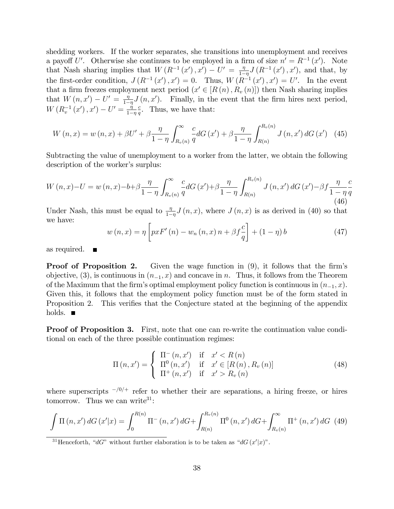shedding workers. If the worker separates, she transitions into unemployment and receives a payoff U'. Otherwise she continues to be employed in a firm of size  $n' = R^{-1}(x')$ . Note that Nash sharing implies that  $W(R^{-1}(x'), x') - U' = \frac{\eta}{1-\eta}$  $\frac{\eta}{1-\eta}J(R^{-1}(x'), x')$ , and that, by the first-order condition,  $J(R^{-1}(x'), x') = 0$ . Thus,  $W(R^{-1}(x'), x') = U'$ . In the event that a firm freezes employment next period  $(x' \in [R(n), R_v(n)])$  then Nash sharing implies that  $W(n, x') - U' = \frac{\eta}{1 - \eta}$  $\frac{\eta}{1-\eta}J(n,x')$ . Finally, in the event that the firm hires next period,  $W(R_v^{-1}(x'), x') - U' = \frac{\dot{\eta}}{1 - \eta}$  $1-\eta$ c  $\frac{c}{q}$ . Thus, we have that:

$$
W(n,x) = w(n,x) + \beta U' + \beta \frac{\eta}{1-\eta} \int_{R_v(n)}^{\infty} \frac{c}{q} dG(x') + \beta \frac{\eta}{1-\eta} \int_{R(n)}^{R_v(n)} J(n,x') dG(x') \quad (45)
$$

Subtracting the value of unemployment to a worker from the latter, we obtain the following description of the worker's surplus:

$$
W(n,x)-U = w(n,x)-b+\beta \frac{\eta}{1-\eta} \int_{R_v(n)}^{\infty} \frac{c}{q} dG(x') + \beta \frac{\eta}{1-\eta} \int_{R(n)}^{R_v(n)} J(n,x') dG(x') - \beta f \frac{\eta}{1-\eta} \frac{c}{q}
$$
(46)

Under Nash, this must be equal to  $\frac{\eta}{1-\eta}J(n,x)$ , where  $J(n,x)$  is as derived in (40) so that we have:

$$
w(n,x) = \eta \left[ pxF'(n) - w_n(n,x) n + \beta f \frac{c}{q} \right] + (1 - \eta) b \tag{47}
$$

as required.  $\blacksquare$ 

**Proof of Proposition 2.** Given the wage function in  $(9)$ , it follows that the firm's objective, (3), is continuous in  $(n_{-1}, x)$  and concave in n. Thus, it follows from the Theorem of the Maximum that the firm's optimal employment policy function is continuous in  $(n_{-1}, x)$ . Given this, it follows that the employment policy function must be of the form stated in Proposition 2. This verifies that the Conjecture stated at the beginning of the appendix holds.  $\blacksquare$ 

**Proof of Proposition 3.** First, note that one can re-write the continuation value conditional on each of the three possible continuation regimes:

$$
\Pi(n, x') = \begin{cases}\n\Pi^-(n, x') & \text{if } x' < R(n) \\
\Pi^0(n, x') & \text{if } x' \in [R(n), R_v(n)] \\
\Pi^+(n, x') & \text{if } x' > R_v(n)\n\end{cases}
$$
\n(48)

where superscripts  $-\frac{10}{1}$  refer to whether their are separations, a hiring freeze, or hires tomorrow. Thus we can write  $31$ :

$$
\int \Pi(n, x') dG(x'|x) = \int_0^{R(n)} \Pi^-(n, x') dG + \int_{R(n)}^{R_v(n)} \Pi^0(n, x') dG + \int_{R_v(n)}^{\infty} \Pi^+(n, x') dG
$$
 (49)

<sup>31</sup>Henceforth, "dG" without further elaboration is to be taken as "dG  $(x'|x)$ ".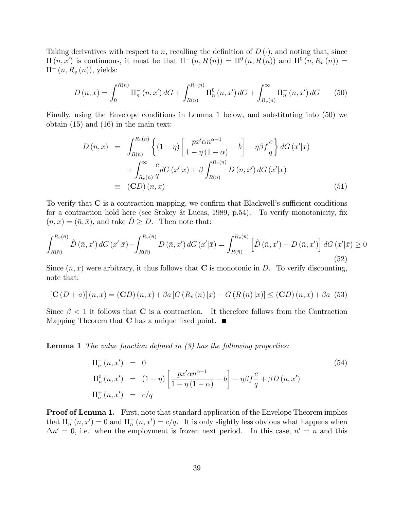Taking derivatives with respect to n, recalling the definition of  $D(\cdot)$ , and noting that, since  $\Pi(n, x')$  is continuous, it must be that  $\Pi^-(n, R(n)) = \Pi^0(n, R(n))$  and  $\Pi^0(n, R_v(n)) =$  $\Pi^+(n, R_v(n))$ , yields:

$$
D(n,x) = \int_0^{R(n)} \Pi_n^-(n,x') dG + \int_{R(n)}^{R_v(n)} \Pi_n^0(n,x') dG + \int_{R_v(n)}^{\infty} \Pi_n^+(n,x') dG \qquad (50)
$$

Finally, using the Envelope conditions in Lemma 1 below, and substituting into (50) we obtain (15) and (16) in the main text:

$$
D(n,x) = \int_{R(n)}^{R_v(n)} \left\{ (1-\eta) \left[ \frac{px' \alpha n^{\alpha-1}}{1-\eta(1-\alpha)} - b \right] - \eta \beta f \frac{c}{q} \right\} dG(x'|x) + \int_{R_v(n)}^{\infty} \frac{c}{q} dG(x'|x) + \beta \int_{R(n)}^{R_v(n)} D(n,x') dG(x'|x) = (CD)(n,x)
$$
\n(51)

To verify that  $C$  is a contraction mapping, we confirm that Blackwell's sufficient conditions for a contraction hold here (see Stokey & Lucas, 1989, p.54). To verify monotonicity, fix  $(n, x) = (\bar{n}, \bar{x})$ , and take  $D \geq D$ . Then note that:

$$
\int_{R(\bar{n})}^{R_v(\bar{n})} \hat{D}(\bar{n}, x') dG(x'|\bar{x}) - \int_{R(\bar{n})}^{R_v(\bar{n})} D(\bar{n}, x') dG(x'|\bar{x}) = \int_{R(\bar{n})}^{R_v(\bar{n})} \left[ \hat{D}(\bar{n}, x') - D(\bar{n}, x') \right] dG(x'|\bar{x}) \ge 0
$$
\n(52)

Since  $(\bar{n}, \bar{x})$  were arbitrary, it thus follows that **C** is monotonic in D. To verify discounting, note that:

$$
[\mathbf{C}(D+a)](n,x) = (\mathbf{C}D)(n,x) + \beta a [G (R_v (n) | x) - G (R (n) | x)] \le (\mathbf{C}D)(n,x) + \beta a (53)
$$

Since  $\beta$  < 1 it follows that **C** is a contraction. It therefore follows from the Contraction Mapping Theorem that **C** has a unique fixed point.  $\blacksquare$ 

**Lemma 1** The value function defined in  $(3)$  has the following properties:

$$
\Pi_n^-(n, x') = 0
$$
\n
$$
\Pi_n^0(n, x') = (1 - \eta) \left[ \frac{px'\alpha n^{\alpha - 1}}{1 - \eta(1 - \alpha)} - b \right] - \eta \beta f \frac{c}{q} + \beta D(n, x')
$$
\n
$$
\Pi_n^+(n, x') = c/q
$$
\n(54)

Proof of Lemma 1. First, note that standard application of the Envelope Theorem implies that  $\Pi_n^-(n, x') = 0$  and  $\Pi_n^+(n, x') = c/q$ . It is only slightly less obvious what happens when  $\Delta n' = 0$ , i.e. when the employment is frozen next period. In this case,  $n' = n$  and this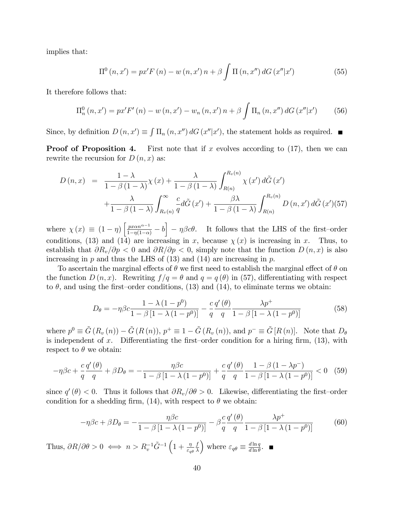implies that:

$$
\Pi^{0}(n,x') = px'F(n) - w(n,x')n + \beta \int \Pi(n,x'') dG(x''|x')
$$
 (55)

It therefore follows that:

$$
\Pi_n^0(n, x') = px'F'(n) - w(n, x') - w_n(n, x')n + \beta \int \Pi_n(n, x'') dG(x''|x')
$$
 (56)

Since, by definition  $D(n, x') \equiv \int \Pi_n(n, x'') dG(x''|x')$ , the statement holds as required.

**Proof of Proposition 4.** First note that if x evolves according to  $(17)$ , then we can rewrite the recursion for  $D(n, x)$  as:

$$
D(n,x) = \frac{1-\lambda}{1-\beta(1-\lambda)}\chi(x) + \frac{\lambda}{1-\beta(1-\lambda)}\int_{R(n)}^{R_v(n)} \chi(x') d\tilde{G}(x')
$$
  
+ 
$$
\frac{\lambda}{1-\beta(1-\lambda)}\int_{R_v(n)}^{\infty} \frac{c}{q}d\tilde{G}(x') + \frac{\beta\lambda}{1-\beta(1-\lambda)}\int_{R(n)}^{R_v(n)} D(n,x') d\tilde{G}(x')(57)
$$

where  $\chi(x) \equiv (1 - \eta) \left[ \frac{p x \alpha n^{\alpha - 1}}{1 - \eta (1 - \alpha)} - b \right] - \eta \beta c \theta$ . It follows that the LHS of the first-order conditions, (13) and (14) are increasing in x, because  $\chi(x)$  is increasing in x. Thus, to establish that  $\partial R_v/\partial p < 0$  and  $\partial R/\partial p < 0$ , simply note that the function  $D (n, x)$  is also increasing in  $p$  and thus the LHS of (13) and (14) are increasing in  $p$ .

To ascertain the marginal effects of  $\theta$  we first need to establish the marginal effect of  $\theta$  on the function  $D(n, x)$ . Rewriting  $f/q = \theta$  and  $q = q(\theta)$  in (57), differentiating with respect to  $\theta$ , and using the first-order conditions, (13) and (14), to eliminate terms we obtain:

$$
D_{\theta} = -\eta \beta c \frac{1 - \lambda (1 - p^0)}{1 - \beta [1 - \lambda (1 - p^0)]} - \frac{c}{q} \frac{q'(\theta)}{q} \frac{\lambda p^+}{1 - \beta [1 - \lambda (1 - p^0)]}
$$
(58)

where  $p^0 \equiv \tilde{G}(R_v(n)) - \tilde{G}(R(n)), p^+ \equiv 1 - \tilde{G}(R_v(n)),$  and  $p^- \equiv \tilde{G}[R(n)].$  Note that  $D_\theta$ is independent of x. Differentiating the first–order condition for a hiring firm,  $(13)$ , with respect to  $\theta$  we obtain:

$$
-\eta \beta c + \frac{c}{q} \frac{q'(\theta)}{q} + \beta D_{\theta} = -\frac{\eta \beta c}{1 - \beta \left[1 - \lambda \left(1 - p^0\right)\right]} + \frac{c}{q} \frac{q'(\theta)}{q} \frac{1 - \beta \left(1 - \lambda p^-\right)}{1 - \beta \left[1 - \lambda \left(1 - p^0\right)\right]} < 0 \tag{59}
$$

since  $q'(\theta) < 0$ . Thus it follows that  $\partial R_v/\partial \theta > 0$ . Likewise, differentiating the first-order condition for a shedding firm, (14), with respect to  $\theta$  we obtain:

$$
-\eta\beta c + \beta D_{\theta} = -\frac{\eta\beta c}{1 - \beta \left[1 - \lambda \left(1 - p^0\right)\right]} - \beta \frac{c}{q} \frac{q'(\theta)}{q} \frac{\lambda p^+}{1 - \beta \left[1 - \lambda \left(1 - p^0\right)\right]}
$$
(60)

Thus,  $\partial R/\partial \theta > 0 \iff n > R_v^{-1} \tilde{G}^{-1} \left(1 + \frac{\eta}{\varepsilon_q \theta}\right)$ f  $\lambda$ ) where  $\varepsilon_{q\theta} \equiv \frac{d \ln q}{d \ln \theta}$  $\frac{d \ln q}{d \ln \theta}$ .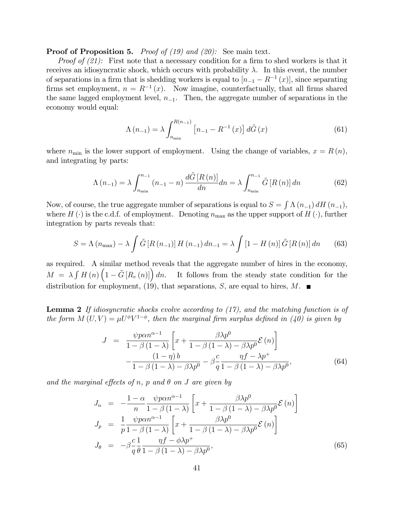#### **Proof of Proposition 5.** Proof of  $(19)$  and  $(20)$ : See main text.

*Proof of (21):* First note that a necessary condition for a firm to shed workers is that it receives an idiosyncratic shock, which occurs with probability  $\lambda$ . In this event, the number of separations in a firm that is shedding workers is equal to  $[n_{-1} - R^{-1}(x)]$ , since separating firms set employment,  $n = R^{-1}(x)$ . Now imagine, counterfactually, that all firms shared the same lagged employment level,  $n_{-1}$ . Then, the aggregate number of separations in the economy would equal:

$$
\Lambda(n_{-1}) = \lambda \int_{n_{\min}}^{R(n_{-1})} \left[ n_{-1} - R^{-1}(x) \right] d\tilde{G}(x)
$$
\n(61)

where  $n_{\min}$  is the lower support of employment. Using the change of variables,  $x = R(n)$ , and integrating by parts:

$$
\Lambda(n_{-1}) = \lambda \int_{n_{\min}}^{n_{-1}} (n_{-1} - n) \frac{d\tilde{G}[R(n)]}{dn} dn = \lambda \int_{n_{\min}}^{n_{-1}} \tilde{G}[R(n)] \, dn \tag{62}
$$

Now, of course, the true aggregate number of separations is equal to  $S = \int \Lambda(n_{-1}) dH(n_{-1}),$ where  $H(\cdot)$  is the c.d.f. of employment. Denoting  $n_{\text{max}}$  as the upper support of  $H(\cdot)$ , further integration by parts reveals that:

$$
S = \Lambda (n_{\max}) - \lambda \int \tilde{G} [R (n_{-1})] H (n_{-1}) dn_{-1} = \lambda \int [1 - H (n)] \tilde{G} [R (n)] dn \qquad (63)
$$

as required. A similar method reveals that the aggregate number of hires in the economy,  $M = \lambda \int H(n) \left(1 - \tilde{G}[R_v(n)]\right) dn$ . It follows from the steady state condition for the distribution for employment, (19), that separations, S, are equal to hires,  $M$ .

**Lemma 2** If idiosyncratic shocks evolve according to  $(17)$ , and the matching function is of the form  $M(U, V) = \mu U^{\phi} V^{1-\phi}$ , then the marginal firm surplus defined in (40) is given by

$$
J = \frac{\psi p \alpha n^{\alpha - 1}}{1 - \beta (1 - \lambda)} \left[ x + \frac{\beta \lambda p^0}{1 - \beta (1 - \lambda) - \beta \lambda p^0} \mathcal{E}(n) \right]
$$

$$
- \frac{(1 - \eta) b}{1 - \beta (1 - \lambda) - \beta \lambda p^0} - \beta \frac{c}{q} \frac{\eta f - \lambda p^+}{1 - \beta (1 - \lambda) - \beta \lambda p^0},
$$
(64)

and the marginal effects of n, p and  $\theta$  on J are given by

$$
J_n = -\frac{1-\alpha}{n} \frac{\psi p \alpha n^{\alpha-1}}{1-\beta(1-\lambda)} \left[ x + \frac{\beta \lambda p^0}{1-\beta(1-\lambda) - \beta \lambda p^0} \mathcal{E}(n) \right]
$$
  
\n
$$
J_p = \frac{1}{p} \frac{\psi p \alpha n^{\alpha-1}}{1-\beta(1-\lambda)} \left[ x + \frac{\beta \lambda p^0}{1-\beta(1-\lambda) - \beta \lambda p^0} \mathcal{E}(n) \right]
$$
  
\n
$$
J_\theta = -\beta \frac{c}{q} \frac{1}{\theta} \frac{\eta f - \phi \lambda p^+}{1-\beta(1-\lambda) - \beta \lambda p^0}, \tag{65}
$$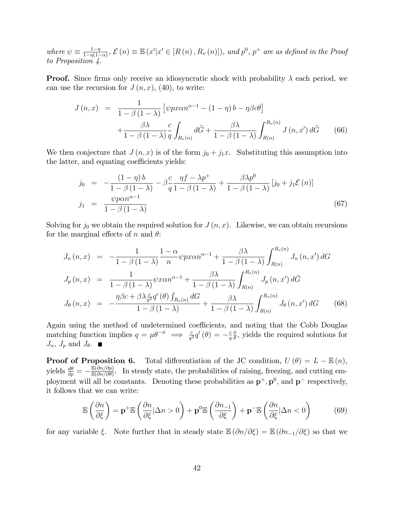where  $\psi \equiv \frac{1-\eta}{1-\eta(1-\eta)}$  $\frac{1-\eta}{1-\eta(1-\alpha)}$ ,  $\mathcal{E}(n) \equiv \mathbb{E}(x'|x' \in [R(n), R_v(n)])$ , and  $p^0$ ,  $p^+$  are as defined in the Proof to Proposition 4.

**Proof.** Since firms only receive an idiosyncratic shock with probability  $\lambda$  each period, we can use the recursion for  $J(n, x)$ , (40), to write:

$$
J(n,x) = \frac{1}{1 - \beta(1 - \lambda)} \left[ \psi p x \alpha n^{\alpha - 1} - (1 - \eta) b - \eta \beta c \theta \right]
$$

$$
+ \frac{\beta \lambda}{1 - \beta(1 - \lambda)} \frac{c}{q} \int_{R_v(n)} d\tilde{G} + \frac{\beta \lambda}{1 - \beta(1 - \lambda)} \int_{R(n)}^{R_v(n)} J(n, x') d\tilde{G} \qquad (66)
$$

We then conjecture that  $J(n, x)$  is of the form  $j_0 + j_1x$ . Substituting this assumption into the latter, and equating coefficients yields:

$$
\begin{array}{rcl}\nj_0 &=& -\frac{(1-\eta)b}{1-\beta(1-\lambda)} - \beta\frac{c}{q}\frac{\eta f - \lambda p^+}{1-\beta(1-\lambda)} + \frac{\beta\lambda p^0}{1-\beta(1-\lambda)}\left[j_0 + j_1 \mathcal{E}\left(n\right)\right] \\
j_1 &=& \frac{\psi p\alpha n^{\alpha-1}}{1-\beta(1-\lambda)}\n\end{array}\n\tag{67}
$$

Solving for  $j_0$  we obtain the required solution for  $J(n, x)$ . Likewise, we can obtain recursions for the marginal effects of n and  $\theta$ :

$$
J_{n}(n,x) = -\frac{1}{1-\beta(1-\lambda)} \frac{1-\alpha}{n} \psi p x \alpha n^{\alpha-1} + \frac{\beta \lambda}{1-\beta(1-\lambda)} \int_{R(n)}^{R_{v}(n)} J_{n}(n,x') dG
$$
  

$$
J_{p}(n,x) = \frac{1}{1-\beta(1-\lambda)} \psi x \alpha n^{\alpha-1} + \frac{\beta \lambda}{1-\beta(1-\lambda)} \int_{R(n)}^{R_{v}(n)} J_{p}(n,x') d\tilde{G}
$$
  

$$
J_{\theta}(n,x) = -\frac{\eta \beta c + \beta \lambda \frac{c}{q^{2}} q'( \theta) \int_{R_{v}(n)} dG}{1-\beta(1-\lambda)} + \frac{\beta \lambda}{1-\beta(1-\lambda)} \int_{R(n)}^{R_{v}(n)} J_{\theta}(n,x') dG
$$
(68)

Again using the method of undetermined coefficients, and noting that the Cobb Douglas matching function implies  $q = \mu \theta^{-\phi} \implies \frac{c}{q^2} q'(\theta) = -\frac{c}{q}$ q  $\phi$  $\frac{\phi}{\theta}$ , yields the required solutions for  $J_n$ ,  $J_p$  and  $J_\theta$ .

**Proof of Proposition 6.** Total differentiation of the JC condition,  $U(\theta) = L - \mathbb{E}(n)$ , yields  $\frac{d\theta}{dp} = -\frac{\mathbb{E}(\partial n/\partial p)}{\mathbb{E}(\partial n/\partial \theta)}$  $\frac{\mathbb{E}(\partial n/\partial p)}{\mathbb{E}(\partial n/\partial \theta)}$ . In steady state, the probabilities of raising, freezing, and cutting employment will all be constants. Denoting these probabilities as  $\mathbf{p}^+$ ,  $\mathbf{p}^0$ , and  $\mathbf{p}^-$  respectively, it follows that we can write:

$$
\mathbb{E}\left(\frac{\partial n}{\partial \xi}\right) = \mathbf{p}^+ \mathbb{E}\left(\frac{\partial n}{\partial \xi}|\Delta n > 0\right) + \mathbf{p}^0 \mathbb{E}\left(\frac{\partial n_{-1}}{\partial \xi}\right) + \mathbf{p}^- \mathbb{E}\left(\frac{\partial n}{\partial \xi}|\Delta n < 0\right) \tag{69}
$$

for any variable  $\xi$ . Note further that in steady state  $\mathbb{E}(\partial n/\partial \xi) = \mathbb{E}(\partial n_{-1}/\partial \xi)$  so that we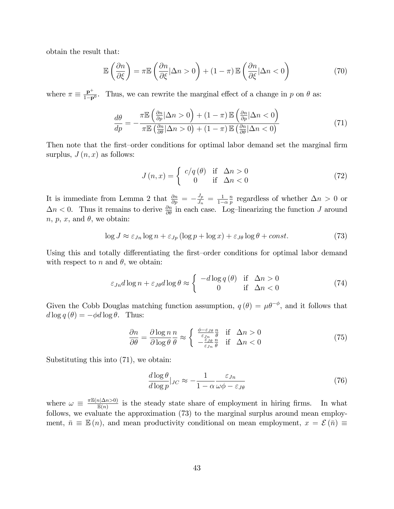obtain the result that:

$$
\mathbb{E}\left(\frac{\partial n}{\partial \xi}\right) = \pi \mathbb{E}\left(\frac{\partial n}{\partial \xi}|\Delta n > 0\right) + (1 - \pi)\mathbb{E}\left(\frac{\partial n}{\partial \xi}|\Delta n < 0\right) \tag{70}
$$

where  $\pi \equiv \frac{\mathbf{p}^+}{1-\mathbf{p}}$  $\frac{\mathbf{p}^+}{1-\mathbf{p}^0}$ . Thus, we can rewrite the marginal effect of a change in p on  $\theta$  as:

$$
\frac{d\theta}{dp} = -\frac{\pi \mathbb{E}\left(\frac{\partial n}{\partial p}|\Delta n > 0\right) + (1 - \pi) \mathbb{E}\left(\frac{\partial n}{\partial p}|\Delta n < 0\right)}{\pi \mathbb{E}\left(\frac{\partial n}{\partial \theta}|\Delta n > 0\right) + (1 - \pi) \mathbb{E}\left(\frac{\partial n}{\partial \theta}|\Delta n < 0\right)}\tag{71}
$$

Then note that the first–order conditions for optimal labor demand set the marginal firm surplus,  $J(n, x)$  as follows:

$$
J(n,x) = \begin{cases} c/q(\theta) & \text{if } \Delta n > 0\\ 0 & \text{if } \Delta n < 0 \end{cases}
$$
 (72)

It is immediate from Lemma 2 that  $\frac{\partial n}{\partial p} = -\frac{J_p}{J_n}$  $\frac{J_p}{J_n} = \frac{1}{1-}$  $1-\alpha$  $\overline{n}$  $\frac{n}{p}$  regardless of whether  $\Delta n > 0$  or  $\Delta n < 0$ . Thus it remains to derive  $\frac{\partial n}{\partial \theta}$  in each case. Log-linearizing the function J around  $n, p, x$ , and  $\theta$ , we obtain:

$$
\log J \approx \varepsilon_{Jn} \log n + \varepsilon_{Jp} (\log p + \log x) + \varepsilon_{J\theta} \log \theta + const. \tag{73}
$$

Using this and totally differentiating the first–order conditions for optimal labor demand with respect to n and  $\theta$ , we obtain:

$$
\varepsilon_{Jn}d\log n + \varepsilon_{J\theta}d\log \theta \approx \begin{cases}\n-d\log q(\theta) & \text{if } \Delta n > 0 \\
0 & \text{if } \Delta n < 0\n\end{cases}
$$
\n(74)

Given the Cobb Douglas matching function assumption,  $q(\theta) = \mu \theta^{-\phi}$ , and it follows that  $d \log q(\theta) = -\phi d \log \theta$ . Thus:

$$
\frac{\partial n}{\partial \theta} = \frac{\partial \log n}{\partial \log \theta} \frac{n}{\theta} \approx \begin{cases} \frac{\phi - \varepsilon_{J\theta}}{\varepsilon_{Jn}} \frac{n}{\theta} & \text{if } \Delta n > 0\\ -\frac{\varepsilon_{J\theta}}{\varepsilon_{Jn}} \frac{n}{\theta} & \text{if } \Delta n < 0 \end{cases}
$$
(75)

Substituting this into (71), we obtain:

$$
\frac{d \log \theta}{d \log p}|_{JC} \approx -\frac{1}{1 - \alpha} \frac{\varepsilon_{Jn}}{\omega \phi - \varepsilon_{J\theta}} \tag{76}
$$

where  $\omega \equiv \frac{\pi \mathbb{E}(n | \Delta n > 0)}{\mathbb{E}(n)}$  $\frac{n(\Delta n > 0)}{\mathbb{E}(n)}$  is the steady state share of employment in hiring firms. In what follows, we evaluate the approximation (73) to the marginal surplus around mean employment,  $\bar{n} \equiv \mathbb{E}(n)$ , and mean productivity conditional on mean employment,  $x = \mathcal{E}(\bar{n}) \equiv$